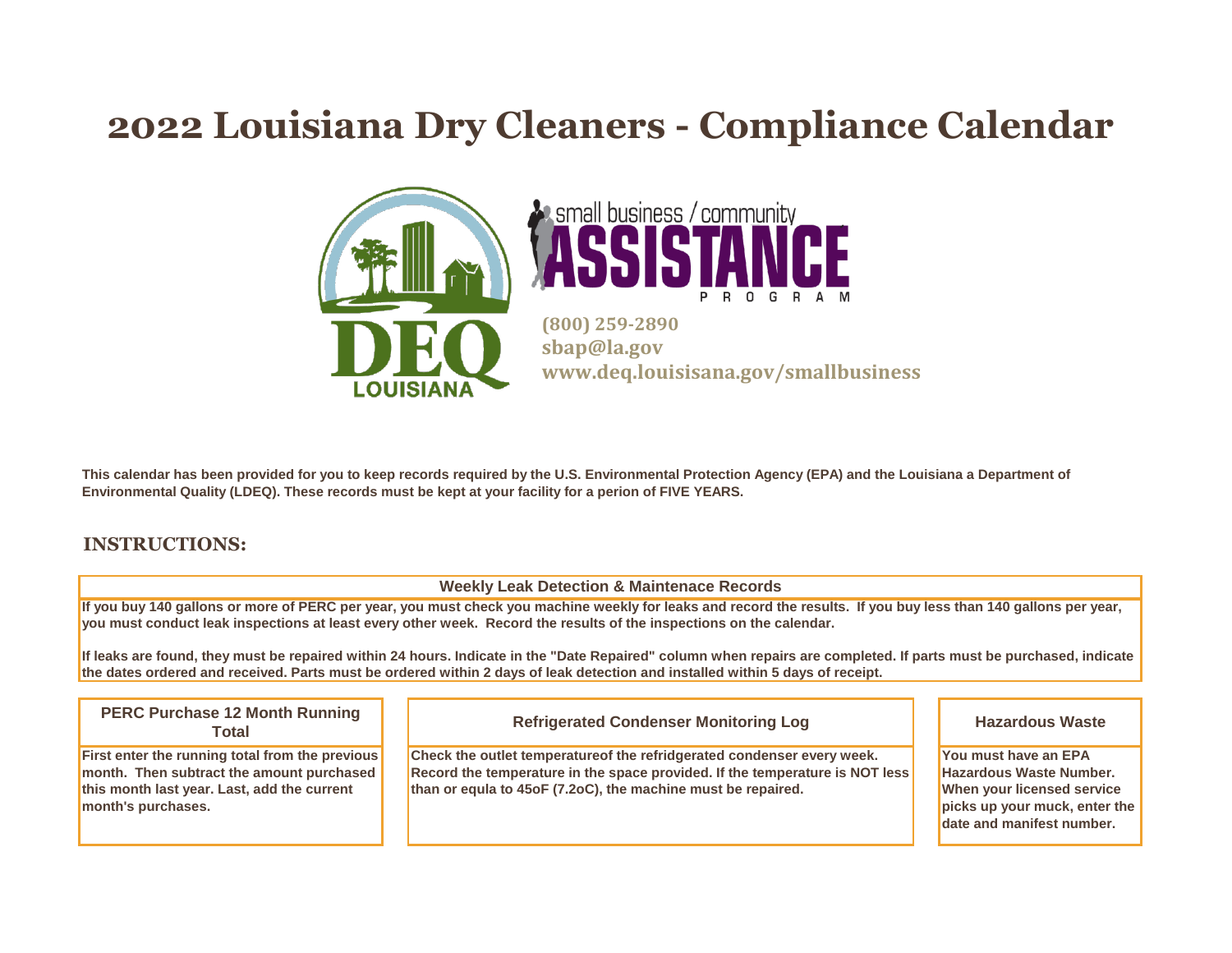### **2022 Louisiana Dry Cleaners - Compliance Calendar**





**(800) 259-2890 sbap@la.gov www.deq.louisisana.gov/smallbusiness**

**This calendar has been provided for you to keep records required by the U.S. Environmental Protection Agency (EPA) and the Louisiana a Department of Environmental Quality (LDEQ). These records must be kept at your facility for a perion of FIVE YEARS.**

#### **INSTRUCTIONS:**

**Weekly Leak Detection & Maintenace Records**

**If you buy 140 gallons or more of PERC per year, you must check you machine weekly for leaks and record the results. If you buy less than 140 gallons per year, you must conduct leak inspections at least every other week. Record the results of the inspections on the calendar.** 

**If leaks are found, they must be repaired within 24 hours. Indicate in the "Date Repaired" column when repairs are completed. If parts must be purchased, indicate the dates ordered and received. Parts must be ordered within 2 days of leak detection and installed within 5 days of receipt.**

**Check the outlet temperatureof the refridgerated condenser every week. Record the temperature in the space provided. If the temperature is NOT less than or equla to 45oF (7.2oC), the machine must be repaired. You must have an EPA Hazardous Waste Number. When your licensed service picks up your muck, enter the date and manifest number. Refrigerated Condenser Monitoring Log Hazardous Waste First enter the running total from the previous month. Then subtract the amount purchased this month last year. Last, add the current month's purchases. PERC Purchase 12 Month Running Total**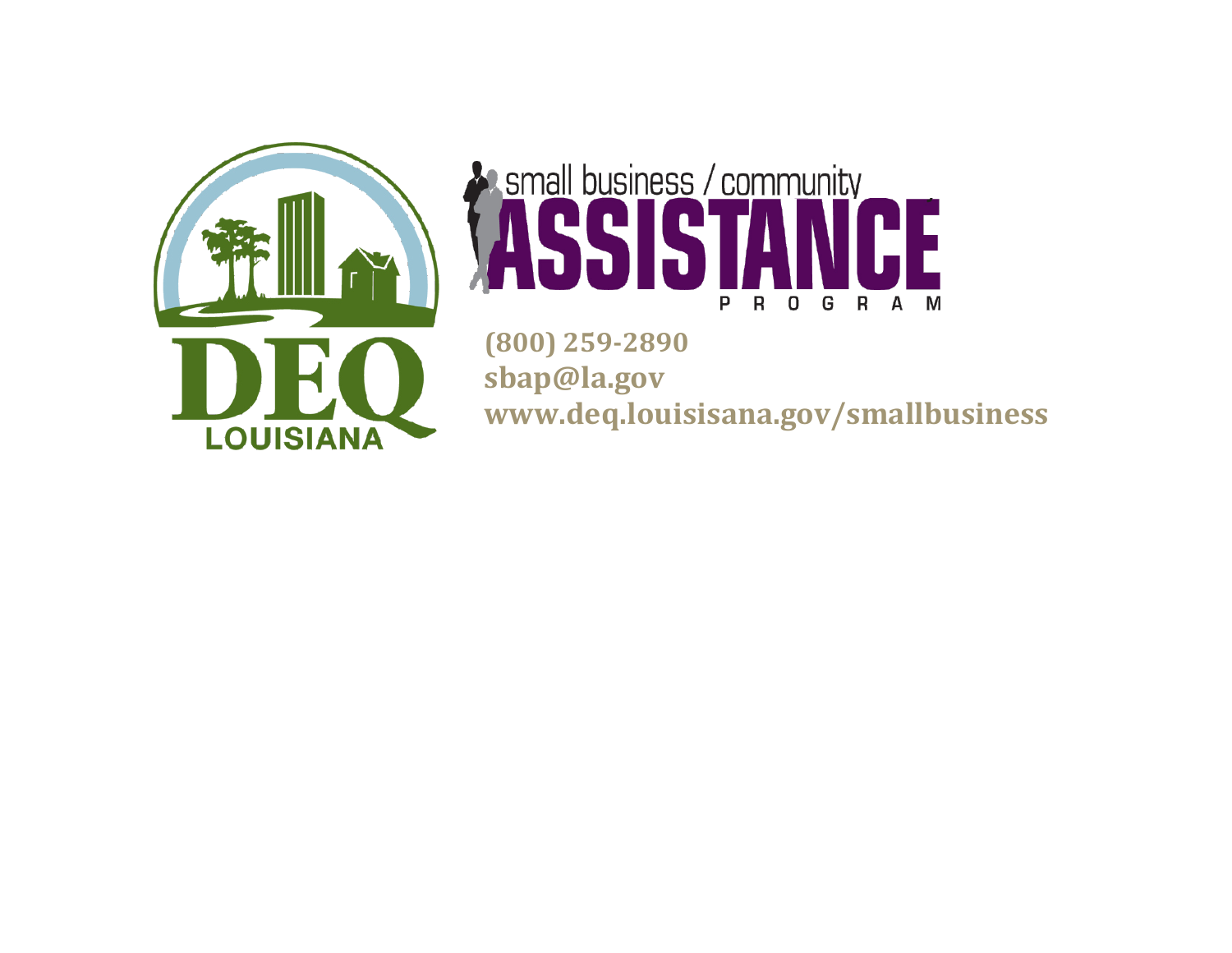

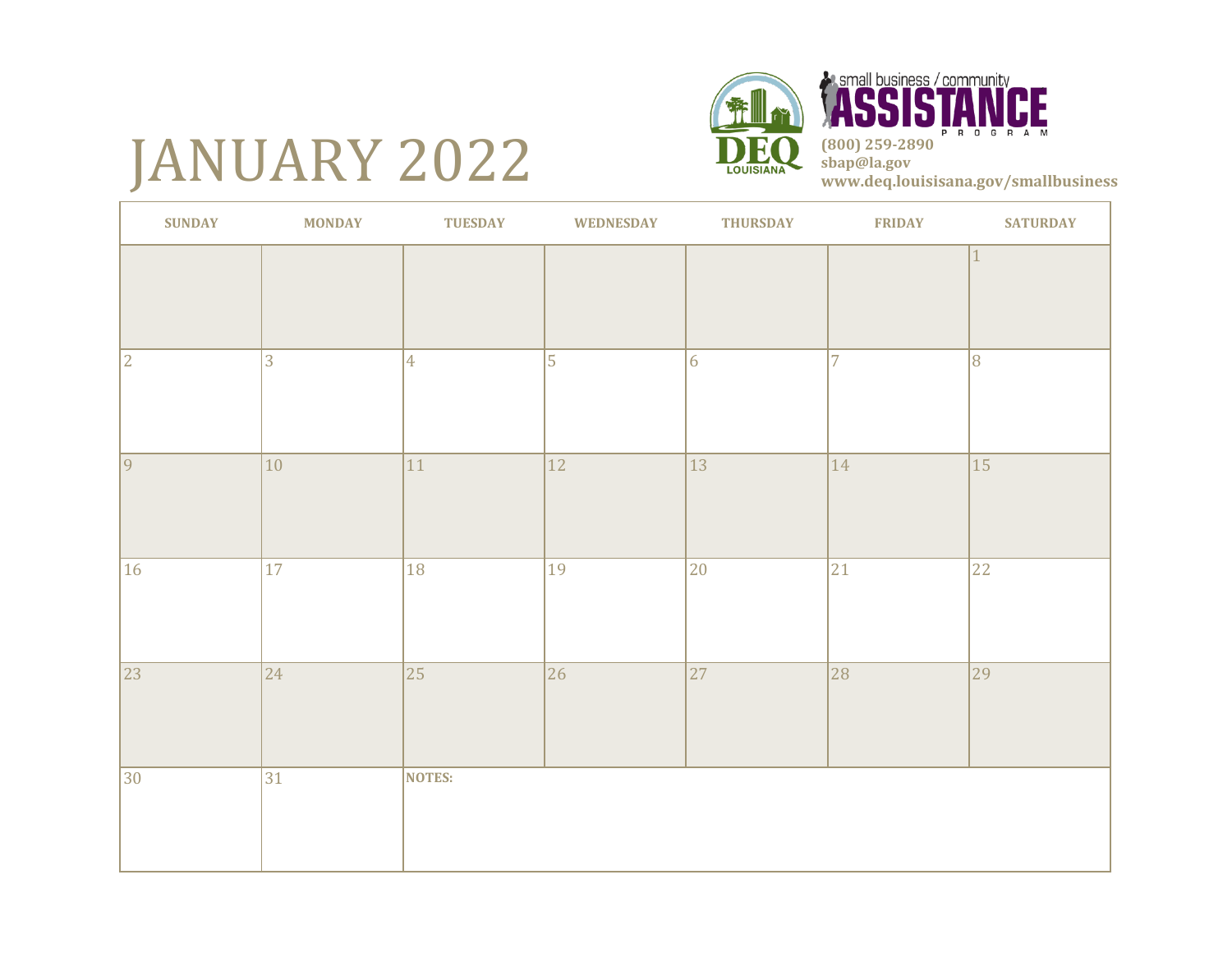# JANUARY 2022





| <b>SUNDAY</b> | <b>MONDAY</b>   | <b>TUESDAY</b>  | <b>WEDNESDAY</b> | <b>THURSDAY</b> | <b>FRIDAY</b>  | <b>SATURDAY</b> |
|---------------|-----------------|-----------------|------------------|-----------------|----------------|-----------------|
|               |                 |                 |                  |                 |                | $\mathbf{1}$    |
| $ 2\rangle$   | $\overline{3}$  | $\overline{4}$  | 5                | 6               | $\overline{7}$ | $\overline{8}$  |
| $ 9\rangle$   | $ 10\rangle$    | 11              | $\overline{12}$  | $ 13\rangle$    | 14             | $\overline{15}$ |
| 16            | $\overline{17}$ | $\overline{18}$ | 19               | $ 20\rangle$    | 21             | 22              |
| 23            | 24              | $\overline{25}$ | 26               | $\overline{27}$ | 28             | $\overline{29}$ |
| 30            | 31              | <b>NOTES:</b>   |                  |                 |                |                 |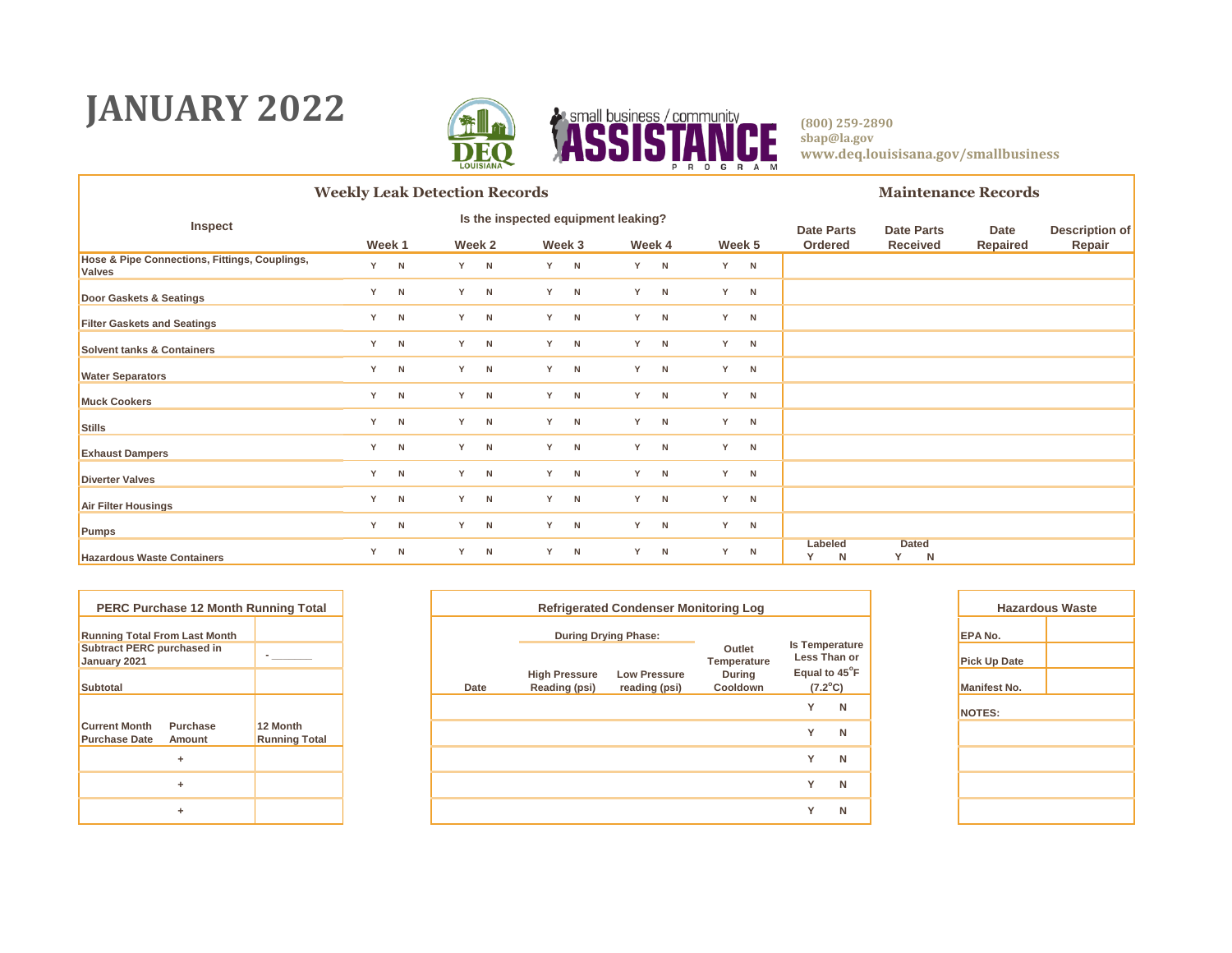### **JANUARY 2022**



|                                                                | <b>Weekly Leak Detection Records</b> |   |     |        |     |        |    |        |   |        |                   |                   | <b>Maintenance Records</b>         |                       |        |  |  |
|----------------------------------------------------------------|--------------------------------------|---|-----|--------|-----|--------|----|--------|---|--------|-------------------|-------------------|------------------------------------|-----------------------|--------|--|--|
| Inspect                                                        | Is the inspected equipment leaking?  |   |     |        |     |        |    |        |   |        | <b>Date Parts</b> | <b>Date Parts</b> | Date                               | <b>Description of</b> |        |  |  |
|                                                                | Week 1                               |   |     | Week 2 |     | Week 3 |    | Week 4 |   | Week 5 |                   | Ordered           | <b>Received</b>                    | Repaired              | Repair |  |  |
| Hose & Pipe Connections, Fittings, Couplings,<br><b>Valves</b> | Y.                                   | N | Y N |        | Y N |        | Y  | N      | Y | N      |                   |                   |                                    |                       |        |  |  |
| Door Gaskets & Seatings                                        | Y                                    | N |     | Y N    |     | Y N    | Y. | N      | Y | N      |                   |                   |                                    |                       |        |  |  |
| <b>Filter Gaskets and Seatings</b>                             | Y                                    | N |     | Y N    | Y   | N      | Y  | N      | Y | N      |                   |                   |                                    |                       |        |  |  |
| <b>Solvent tanks &amp; Containers</b>                          | Y                                    | N |     | Y N    |     | Y N    | Y  | N      | Y | N      |                   |                   |                                    |                       |        |  |  |
| <b>Water Separators</b>                                        | Y                                    | N |     | Y N    | Y - | N      | Y  | N      | Y | N      |                   |                   |                                    |                       |        |  |  |
| <b>Muck Cookers</b>                                            | Y                                    | N |     | Y N    |     | Y N    | Y  | N      | Y | N      |                   |                   |                                    |                       |        |  |  |
| <b>Stills</b>                                                  | Y                                    | N | Y N |        | Y.  | N      | Y  | N      | Y | N      |                   |                   |                                    |                       |        |  |  |
| <b>Exhaust Dampers</b>                                         | Y                                    | N |     | Y N    |     | Y N    | Y  | N      | Y | N      |                   |                   |                                    |                       |        |  |  |
| <b>Diverter Valves</b>                                         | Y                                    | N |     | Y N    |     | Y N    | Y  | N      | Y | N      |                   |                   |                                    |                       |        |  |  |
| <b>Air Filter Housings</b>                                     | Y                                    | N |     | Y N    |     | Y N    | Y  | N      | Y | N      |                   |                   |                                    |                       |        |  |  |
| Pumps                                                          | Y                                    | N | Y N |        |     | Y N    | Y  | N      | Y | N      |                   |                   |                                    |                       |        |  |  |
| <b>Hazardous Waste Containers</b>                              | Y                                    | N |     | Y N    | Y.  | N      | Y  | N      | Y | N      |                   | Labeled<br>N      | <b>Dated</b><br>Y.<br>$\mathsf{N}$ |                       |        |  |  |

| <b>PERC Purchase 12 Month Running Total</b>       |                      |
|---------------------------------------------------|----------------------|
| <b>Running Total From Last Month</b>              |                      |
| <b>Subtract PERC purchased in</b><br>January 2021 |                      |
| <b>Subtotal</b>                                   |                      |
|                                                   |                      |
| <b>Current Month</b><br><b>Purchase</b>           | 12 Month             |
| <b>Purchase Date</b><br>Amount                    | <b>Running Total</b> |
| ٠                                                 |                      |
| ۰                                                 |                      |
|                                                   |                      |

| ase 12 Month Running Total |                                  |      |                                       | <b>Refrigerated Condenser Monitoring Log</b> |                           |                                   |   | Haza                |
|----------------------------|----------------------------------|------|---------------------------------------|----------------------------------------------|---------------------------|-----------------------------------|---|---------------------|
| m Last Month               |                                  |      | <b>During Drying Phase:</b>           |                                              |                           |                                   |   | <b>EPANO.</b>       |
| rchased in                 |                                  |      |                                       |                                              | Outlet<br>Temperature     | Is Temperature<br>Less Than or    |   | <b>Pick Up Date</b> |
|                            |                                  | Date | <b>High Pressure</b><br>Reading (psi) | <b>Low Pressure</b><br>reading (psi)         | <b>During</b><br>Cooldown | Equal to 45°F<br>$(7.2^{\circ}C)$ |   | Manifest No.        |
|                            |                                  |      |                                       |                                              |                           | Y                                 | N | NOTES:              |
| Purchase<br>Amount         | 12 Month<br><b>Running Total</b> |      |                                       |                                              |                           | Y                                 | N |                     |
| ÷                          |                                  |      |                                       |                                              |                           | Y                                 | N |                     |
| ÷.                         |                                  |      |                                       |                                              |                           | Y                                 | N |                     |
| ÷.                         |                                  |      |                                       |                                              |                           | Y                                 | N |                     |

| <b>Hazardous Waste</b> |  |  |  |  |  |  |  |  |  |  |  |  |
|------------------------|--|--|--|--|--|--|--|--|--|--|--|--|
| EPA No.                |  |  |  |  |  |  |  |  |  |  |  |  |
| <b>Pick Up Date</b>    |  |  |  |  |  |  |  |  |  |  |  |  |
| <b>Manifest No.</b>    |  |  |  |  |  |  |  |  |  |  |  |  |
| <b>NOTES:</b>          |  |  |  |  |  |  |  |  |  |  |  |  |
|                        |  |  |  |  |  |  |  |  |  |  |  |  |
|                        |  |  |  |  |  |  |  |  |  |  |  |  |
|                        |  |  |  |  |  |  |  |  |  |  |  |  |
|                        |  |  |  |  |  |  |  |  |  |  |  |  |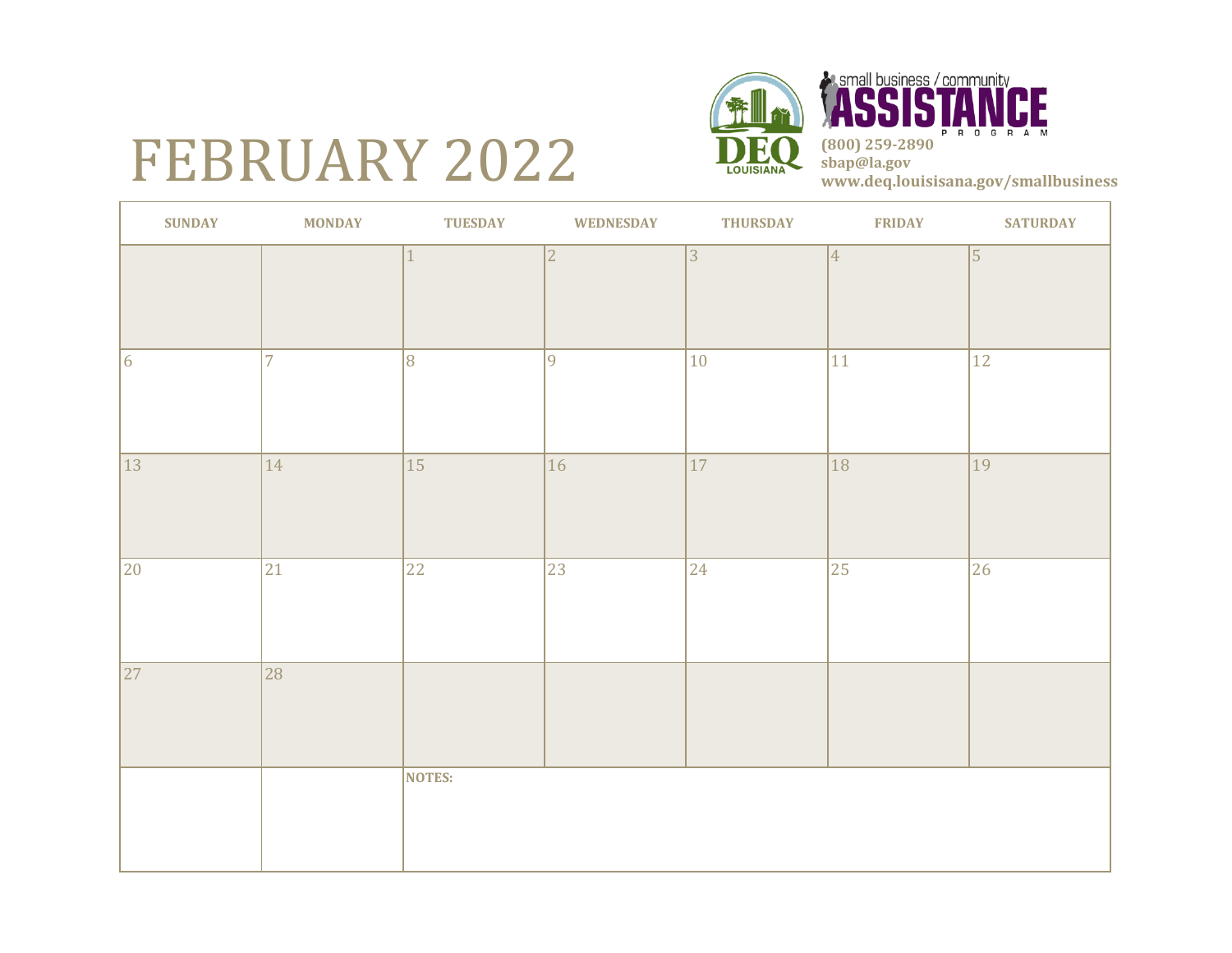# FEBRUARY 2022





| <b>SUNDAY</b> | <b>MONDAY</b>  | <b>TUESDAY</b>  | <b>WEDNESDAY</b> | <b>THURSDAY</b> | <b>FRIDAY</b>  | <b>SATURDAY</b> |
|---------------|----------------|-----------------|------------------|-----------------|----------------|-----------------|
|               |                |                 | $\overline{2}$   | 3               | $\overline{4}$ | $\vert$ 5       |
| 6             | $\overline{7}$ | 8               | 9                | $ 10\rangle$    | 11             | $ 12\rangle$    |
| 13            | $ 14\rangle$   | $\overline{15}$ | $\overline{16}$  | $\overline{17}$ | 18             | 19              |
| 20            | $ 21\rangle$   | 22              | $\overline{23}$  | $ 24\rangle$    | 25             | 26              |
| 27            | 28             |                 |                  |                 |                |                 |
|               |                | NOTES:          |                  |                 |                |                 |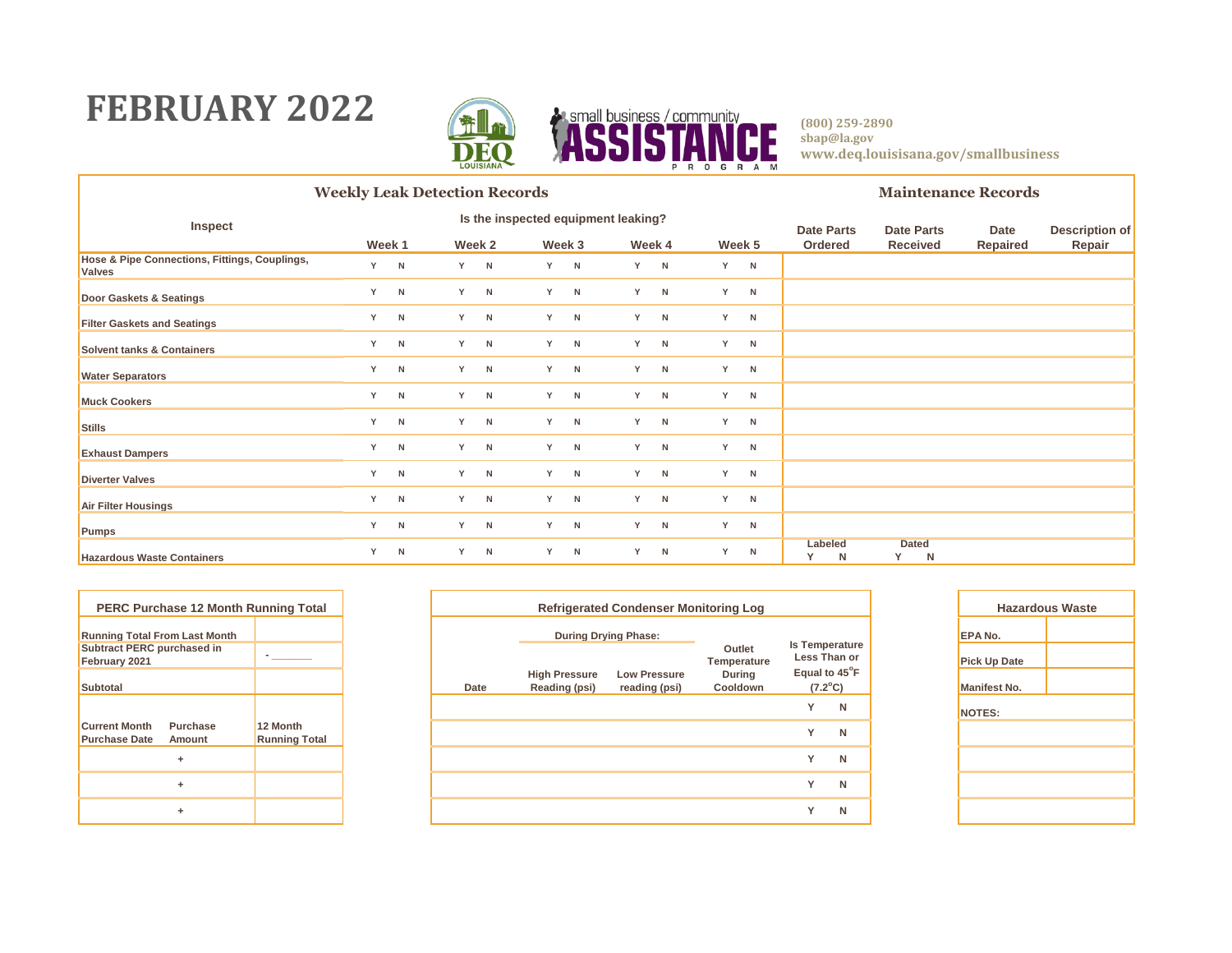### **FEBRUARY 2022**



|                                                                | <b>Weekly Leak Detection Records</b> |   |     |        |     |        |    |        |   |        |                   |                   | <b>Maintenance Records</b>         |                       |        |  |  |
|----------------------------------------------------------------|--------------------------------------|---|-----|--------|-----|--------|----|--------|---|--------|-------------------|-------------------|------------------------------------|-----------------------|--------|--|--|
| Inspect                                                        | Is the inspected equipment leaking?  |   |     |        |     |        |    |        |   |        | <b>Date Parts</b> | <b>Date Parts</b> | Date                               | <b>Description of</b> |        |  |  |
|                                                                | Week 1                               |   |     | Week 2 |     | Week 3 |    | Week 4 |   | Week 5 |                   | Ordered           | <b>Received</b>                    | Repaired              | Repair |  |  |
| Hose & Pipe Connections, Fittings, Couplings,<br><b>Valves</b> | Y.                                   | N | Y N |        | Y N |        | Y  | N      | Y | N      |                   |                   |                                    |                       |        |  |  |
| Door Gaskets & Seatings                                        | Y                                    | N |     | Y N    |     | Y N    | Y. | N      | Y | N      |                   |                   |                                    |                       |        |  |  |
| <b>Filter Gaskets and Seatings</b>                             | Y                                    | N |     | Y N    | Y   | N      | Y  | N      | Y | N      |                   |                   |                                    |                       |        |  |  |
| <b>Solvent tanks &amp; Containers</b>                          | Y                                    | N |     | Y N    |     | Y N    | Y  | N      | Y | N      |                   |                   |                                    |                       |        |  |  |
| <b>Water Separators</b>                                        | Y                                    | N |     | Y N    | Y - | N      | Y  | N      | Y | N      |                   |                   |                                    |                       |        |  |  |
| <b>Muck Cookers</b>                                            | Y                                    | N |     | Y N    |     | Y N    | Y  | N      | Y | N      |                   |                   |                                    |                       |        |  |  |
| <b>Stills</b>                                                  | Y                                    | N | Y N |        | Y.  | N      | Y  | N      | Y | N      |                   |                   |                                    |                       |        |  |  |
| <b>Exhaust Dampers</b>                                         | Y                                    | N |     | Y N    |     | Y N    | Y  | N      | Y | N      |                   |                   |                                    |                       |        |  |  |
| <b>Diverter Valves</b>                                         | Y                                    | N |     | Y N    |     | Y N    | Y  | N      | Y | N      |                   |                   |                                    |                       |        |  |  |
| <b>Air Filter Housings</b>                                     | Y                                    | N |     | Y N    |     | Y N    | Y  | N      | Y | N      |                   |                   |                                    |                       |        |  |  |
| Pumps                                                          | Y                                    | N | Y N |        |     | Y N    | Y  | N      | Y | N      |                   |                   |                                    |                       |        |  |  |
| <b>Hazardous Waste Containers</b>                              | Y                                    | N |     | Y N    | Y.  | N      | Y  | N      | Y | N      |                   | Labeled<br>N      | <b>Dated</b><br>Y.<br>$\mathsf{N}$ |                       |        |  |  |

|                                                    | <b>PERC Purchase 12 Month Running Total</b> |                                  |
|----------------------------------------------------|---------------------------------------------|----------------------------------|
| <b>Running Total From Last Month</b>               |                                             |                                  |
| <b>Subtract PERC purchased in</b><br>February 2021 |                                             |                                  |
| <b>Subtotal</b>                                    |                                             |                                  |
|                                                    |                                             |                                  |
| <b>Current Month</b><br><b>Purchase Date</b>       | Purchase<br>Amount                          | 12 Month<br><b>Running Total</b> |
|                                                    | ÷                                           |                                  |
|                                                    | ÷                                           |                                  |
|                                                    | ÷                                           |                                  |

| PERC Purchase 12 Month Running Total             |                                  |      |                                       | <b>Refrigerated Condenser Monitoring Log</b> |                           |                                   |   | Haza                |
|--------------------------------------------------|----------------------------------|------|---------------------------------------|----------------------------------------------|---------------------------|-----------------------------------|---|---------------------|
| nning Total From Last Month                      |                                  |      | <b>During Drying Phase:</b>           |                                              |                           | <b>Is Temperature</b>             |   | <b>EPA No.</b>      |
| btract PERC purchased in<br>oruary 2021          |                                  |      |                                       |                                              | Outlet<br>Temperature     | Less Than or                      |   | <b>Pick Up Date</b> |
| btotal                                           |                                  | Date | <b>High Pressure</b><br>Reading (psi) | <b>Low Pressure</b><br>reading (psi)         | <b>During</b><br>Cooldown | Equal to 45°F<br>$(7.2^{\circ}C)$ |   | <b>Manifest No.</b> |
|                                                  |                                  |      |                                       |                                              |                           | $\checkmark$                      | N | NOTES:              |
| rrent Month<br>Purchase<br>rchase Date<br>Amount | 12 Month<br><b>Running Total</b> |      |                                       |                                              |                           | $\checkmark$                      | N |                     |
| ÷                                                |                                  |      |                                       |                                              |                           | $\checkmark$                      | N |                     |
| ÷                                                |                                  |      |                                       |                                              |                           | $\checkmark$                      | N |                     |
| ٠                                                |                                  |      |                                       |                                              |                           | $\checkmark$                      | N |                     |
|                                                  |                                  |      |                                       |                                              |                           |                                   |   |                     |

| <b>Hazardous Waste</b> |  |  |  |  |  |  |  |  |  |  |  |  |
|------------------------|--|--|--|--|--|--|--|--|--|--|--|--|
| EPA No.                |  |  |  |  |  |  |  |  |  |  |  |  |
| <b>Pick Up Date</b>    |  |  |  |  |  |  |  |  |  |  |  |  |
| <b>Manifest No.</b>    |  |  |  |  |  |  |  |  |  |  |  |  |
| <b>NOTES:</b>          |  |  |  |  |  |  |  |  |  |  |  |  |
|                        |  |  |  |  |  |  |  |  |  |  |  |  |
|                        |  |  |  |  |  |  |  |  |  |  |  |  |
|                        |  |  |  |  |  |  |  |  |  |  |  |  |
|                        |  |  |  |  |  |  |  |  |  |  |  |  |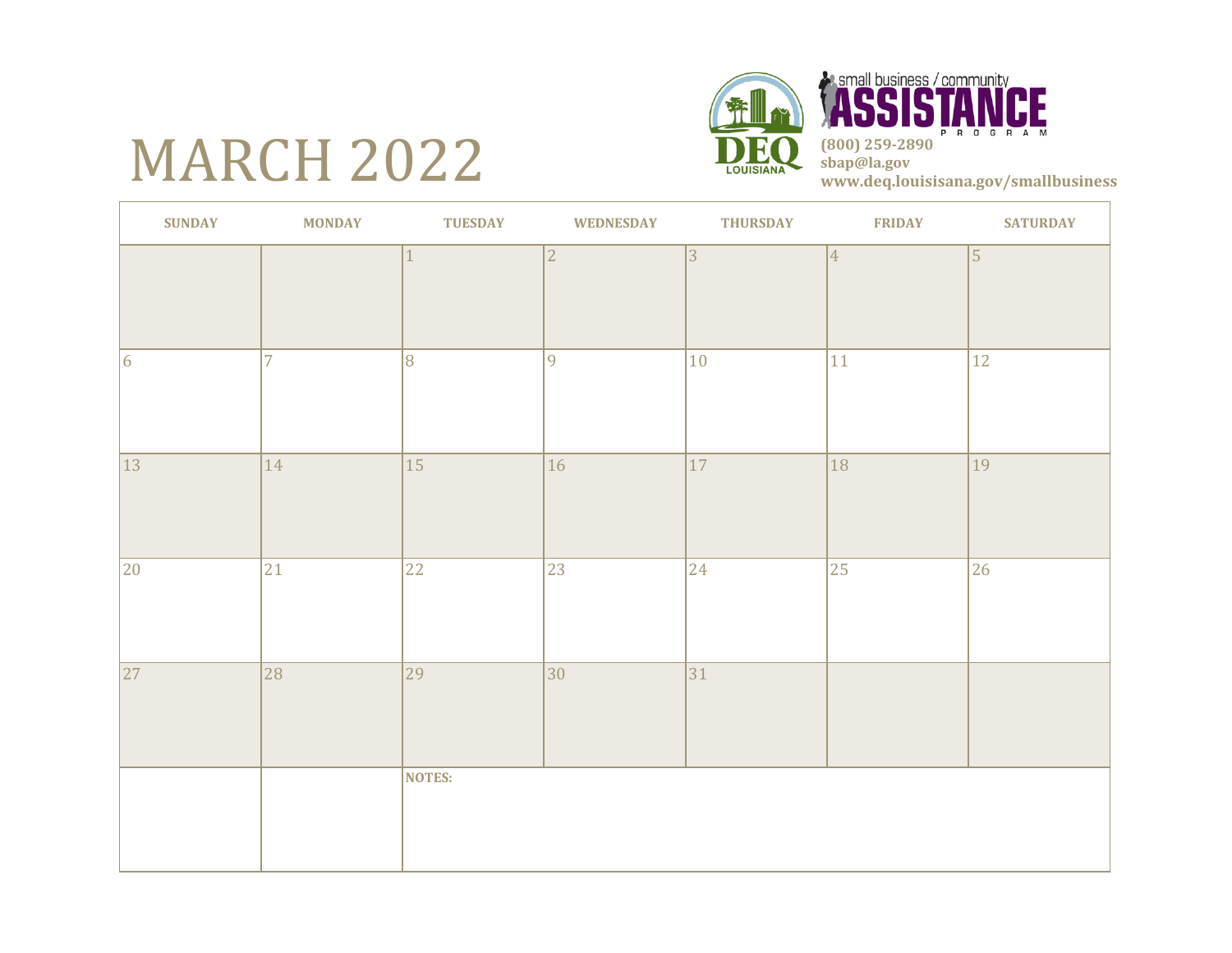# **MARCH 2022**



**Example business / community** CE P R O G R A M **(800) 259-2890 sbap@la.gov www.deq.louisisana.gov/smallbusiness**

| <b>SUNDAY</b>   | <b>MONDAY</b>  | <b>TUESDAY</b>  | <b>WEDNESDAY</b> | <b>THURSDAY</b> | <b>FRIDAY</b>   | <b>SATURDAY</b> |
|-----------------|----------------|-----------------|------------------|-----------------|-----------------|-----------------|
|                 |                |                 | $\overline{2}$   | $ 3\rangle$     | $\vert 4 \vert$ | $\vert$ 5       |
| 6               | $\overline{7}$ | 8               | 9                | $ 10\rangle$    | 11              | 12              |
| 13              | $ 14\rangle$   | 15              | 16               | 17              | 18              | $\overline{19}$ |
| 20              | 21             | $\overline{22}$ | $\overline{23}$  | $ 24\rangle$    | $\overline{25}$ | $ 26\rangle$    |
| $\overline{27}$ | 28             | 29              | 30               | 31              |                 |                 |
|                 |                | NOTES:          |                  |                 |                 |                 |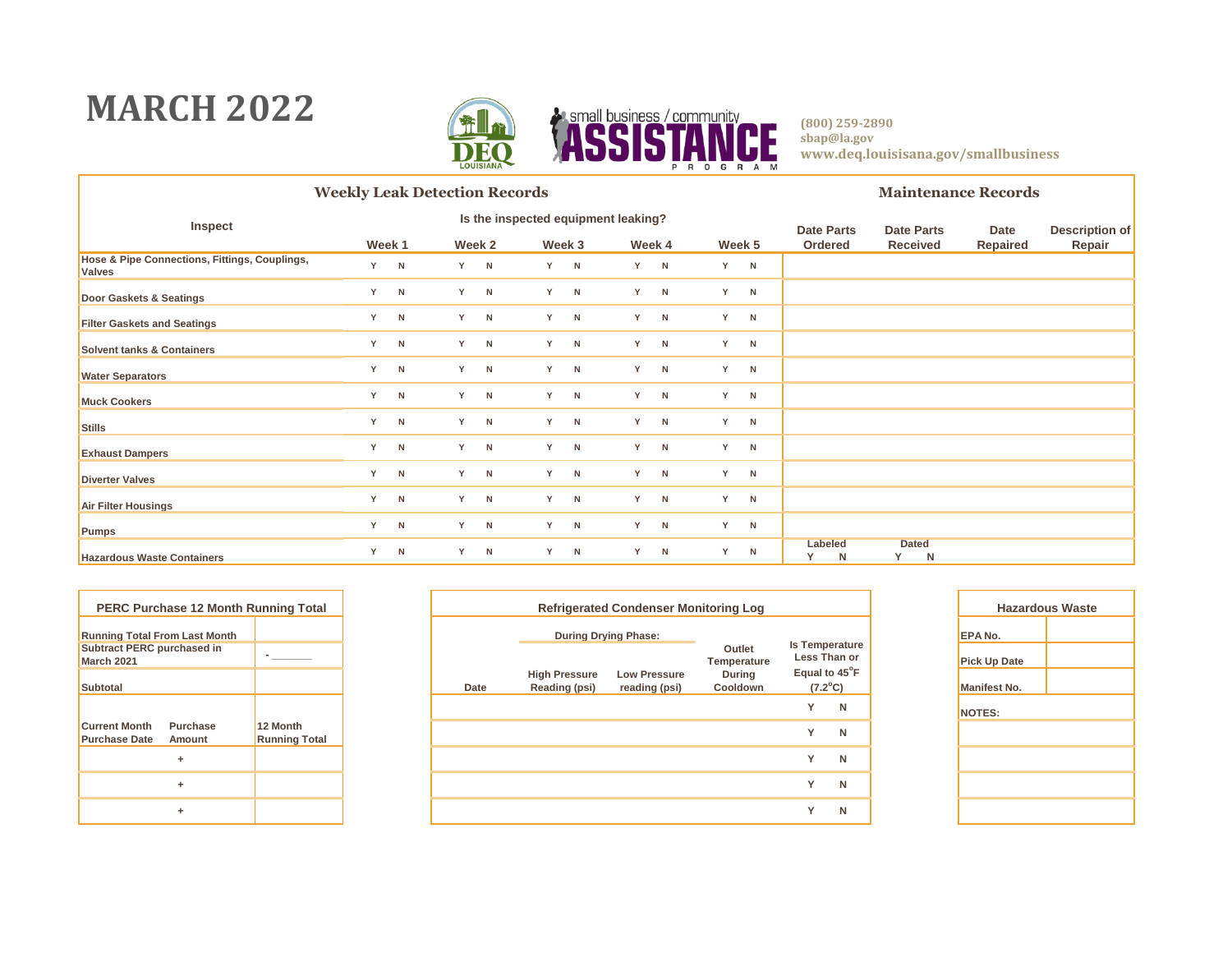### **MARCH 2022**



**(800) 259-2890 sbap@la.gov www.deq.louisisana.gov/smallbusiness**

CE.

|                                                                | <b>Weekly Leak Detection Records</b> |   |  |        |    |        |   |        |   |              |                   |                        | <b>Maintenance Records</b> |                       |  |  |  |
|----------------------------------------------------------------|--------------------------------------|---|--|--------|----|--------|---|--------|---|--------------|-------------------|------------------------|----------------------------|-----------------------|--|--|--|
| Inspect                                                        | Is the inspected equipment leaking?  |   |  |        |    |        |   |        |   |              | <b>Date Parts</b> | <b>Date Parts</b>      | Date                       | <b>Description of</b> |  |  |  |
|                                                                | Week 1                               |   |  | Week 2 |    | Week 3 |   | Week 4 |   | Week 5       | Ordered           | <b>Received</b>        | <b>Repaired</b>            | Repair                |  |  |  |
| Hose & Pipe Connections, Fittings, Couplings,<br><b>Valves</b> | Y                                    | N |  | Y N    | Y. | N      | Y | N      | Y | N            |                   |                        |                            |                       |  |  |  |
| Door Gaskets & Seatings                                        | Y                                    | N |  | Y N    | Y  | N      | Y | N      | Y | $\mathsf{N}$ |                   |                        |                            |                       |  |  |  |
| <b>Filter Gaskets and Seatings</b>                             | Y                                    | N |  | Y N    | Y  | N      | Y | N      | Y | N            |                   |                        |                            |                       |  |  |  |
| <b>Solvent tanks &amp; Containers</b>                          | Y                                    | N |  | $Y$ N  | Y  | N      | Y | N      | Y | N            |                   |                        |                            |                       |  |  |  |
| <b>Water Separators</b>                                        | Y                                    | N |  | Y N    | Y  | N      | Y | N      | Y | N            |                   |                        |                            |                       |  |  |  |
| <b>Muck Cookers</b>                                            | Y                                    | N |  | Y N    | Y  | N      | Y | N      | Y | N            |                   |                        |                            |                       |  |  |  |
| Stills                                                         | Y                                    | N |  | Y N    | Y  | N      | Y | N      | Y | N            |                   |                        |                            |                       |  |  |  |
| <b>Exhaust Dampers</b>                                         | Y                                    | N |  | Y N    | Y  | N      | Y | N      | Y | N            |                   |                        |                            |                       |  |  |  |
| <b>Diverter Valves</b>                                         | Y                                    | N |  | Y N    | Y  | N      | Y | N      | Y | N            |                   |                        |                            |                       |  |  |  |
| Air Filter Housings                                            | Y                                    | N |  | Y N    | Y  | N      | Y | N      | Y | N            |                   |                        |                            |                       |  |  |  |
| Pumps                                                          | Y                                    | N |  | Y N    | Y. | N      | Y | N      | Y | N            |                   |                        |                            |                       |  |  |  |
| <b>Hazardous Waste Containers</b>                              | Y                                    | N |  | Y N    | Y  | N      | Y | N      | Y | N            | Labeled<br>Y<br>N | <b>Dated</b><br>Y<br>N |                            |                       |  |  |  |

|                                                 | <b>PERC Purchase 12 Month Running Total</b> |                                  |  |  |
|-------------------------------------------------|---------------------------------------------|----------------------------------|--|--|
| <b>Running Total From Last Month</b>            |                                             |                                  |  |  |
| <b>Subtract PERC purchased in</b><br>March 2021 |                                             |                                  |  |  |
| <b>Subtotal</b>                                 |                                             |                                  |  |  |
|                                                 |                                             |                                  |  |  |
| <b>Current Month</b><br><b>Purchase Date</b>    | Purchase<br>Amount                          | 12 Month<br><b>Running Total</b> |  |  |
|                                                 | ٠                                           |                                  |  |  |
|                                                 | ٠                                           |                                  |  |  |
|                                                 | ٠                                           |                                  |  |  |

| PERC Purchase 12 Month Running Total             |                                  |      |                                       | <b>Refrigerated Condenser Monitoring Log</b> |                           | Haza                                  |   |                     |
|--------------------------------------------------|----------------------------------|------|---------------------------------------|----------------------------------------------|---------------------------|---------------------------------------|---|---------------------|
| nning Total From Last Month                      |                                  |      | <b>During Drying Phase:</b>           |                                              |                           |                                       |   | <b>EPA No.</b>      |
| btract PERC purchased in<br>rch 2021             |                                  |      |                                       |                                              | Outlet<br>Temperature     | <b>Is Temperature</b><br>Less Than or |   | <b>Pick Up Date</b> |
| btotal                                           |                                  | Date | <b>High Pressure</b><br>Reading (psi) | <b>Low Pressure</b><br>reading (psi)         | <b>During</b><br>Cooldown | Equal to 45°F<br>$(7.2^{\circ}C)$     |   | <b>Manifest No.</b> |
|                                                  |                                  |      |                                       |                                              |                           | $\checkmark$                          | N | NOTES:              |
| rrent Month<br>Purchase<br>rchase Date<br>Amount | 12 Month<br><b>Running Total</b> |      |                                       |                                              |                           | $\checkmark$                          | N |                     |
| ÷                                                |                                  |      |                                       |                                              |                           | $\checkmark$                          | N |                     |
| ÷                                                |                                  |      |                                       |                                              |                           | $\checkmark$                          | N |                     |
| ٠                                                |                                  |      |                                       |                                              |                           | $\checkmark$                          | N |                     |
|                                                  |                                  |      |                                       |                                              |                           |                                       |   |                     |

| <b>Hazardous Waste</b> |  |  |  |  |  |  |  |  |
|------------------------|--|--|--|--|--|--|--|--|
| EPA No.                |  |  |  |  |  |  |  |  |
| <b>Pick Up Date</b>    |  |  |  |  |  |  |  |  |
| <b>Manifest No.</b>    |  |  |  |  |  |  |  |  |
| <b>NOTES:</b>          |  |  |  |  |  |  |  |  |
|                        |  |  |  |  |  |  |  |  |
|                        |  |  |  |  |  |  |  |  |
|                        |  |  |  |  |  |  |  |  |
|                        |  |  |  |  |  |  |  |  |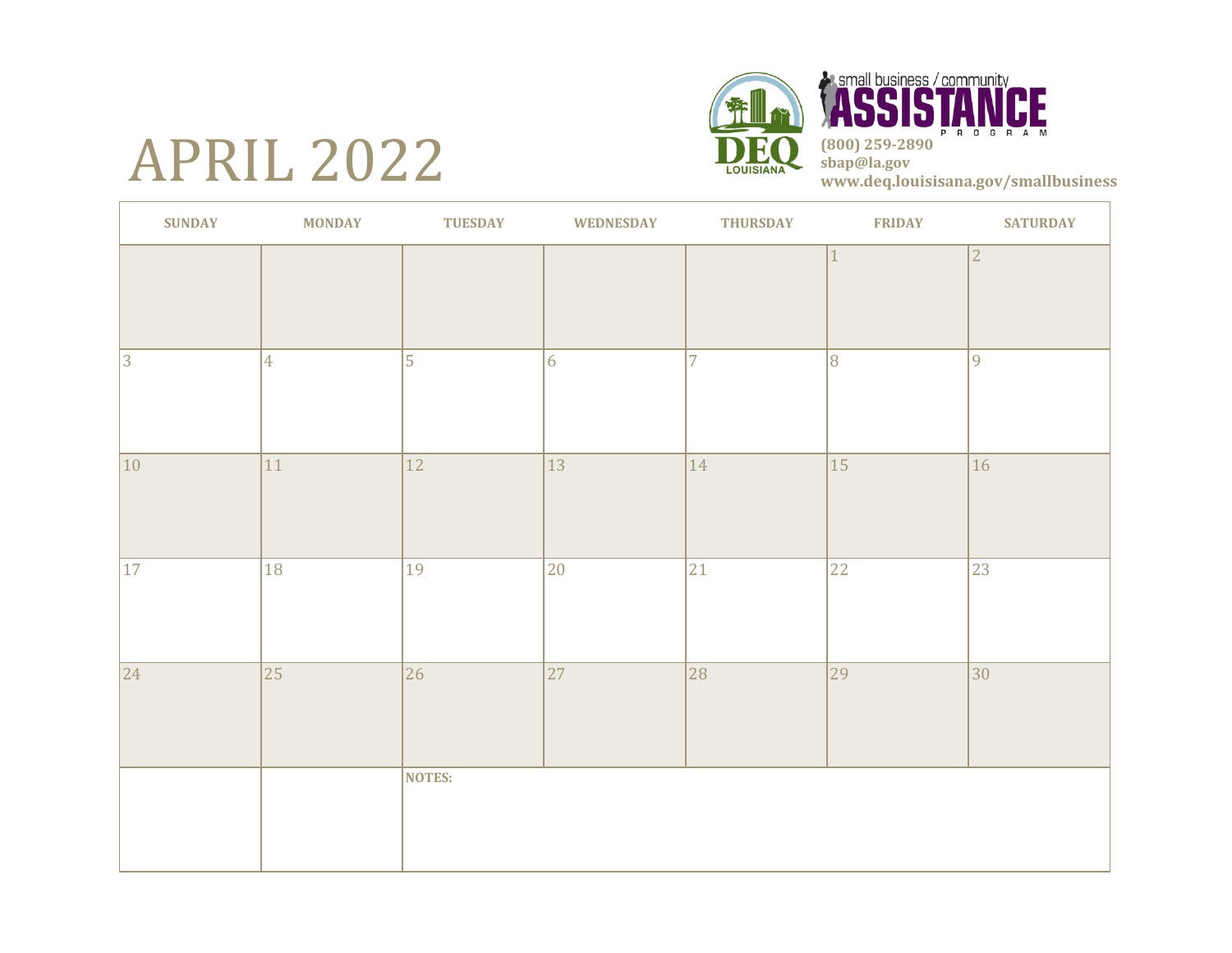# APRIL 2022





| <b>SUNDAY</b>   | <b>MONDAY</b>   | <b>TUESDAY</b>  | <b>WEDNESDAY</b> | <b>THURSDAY</b> | <b>FRIDAY</b> | <b>SATURDAY</b> |
|-----------------|-----------------|-----------------|------------------|-----------------|---------------|-----------------|
|                 |                 |                 |                  |                 | $\mathbf{1}$  | 2               |
| $ 3\rangle$     | $\vert 4 \vert$ | $\overline{5}$  | 6                | $\overline{7}$  | 8             | $ 9\rangle$     |
| 10              | 11              | 12              | 13               | $ 14\rangle$    | 15            | 16              |
| 17              | 18              | 19              | 20               | 21              | 22            | 23              |
| $\overline{24}$ | $\overline{25}$ | $\overline{26}$ | $\overline{27}$  | 28              | 29            | $ 30\rangle$    |
|                 |                 | <b>NOTES:</b>   |                  |                 |               |                 |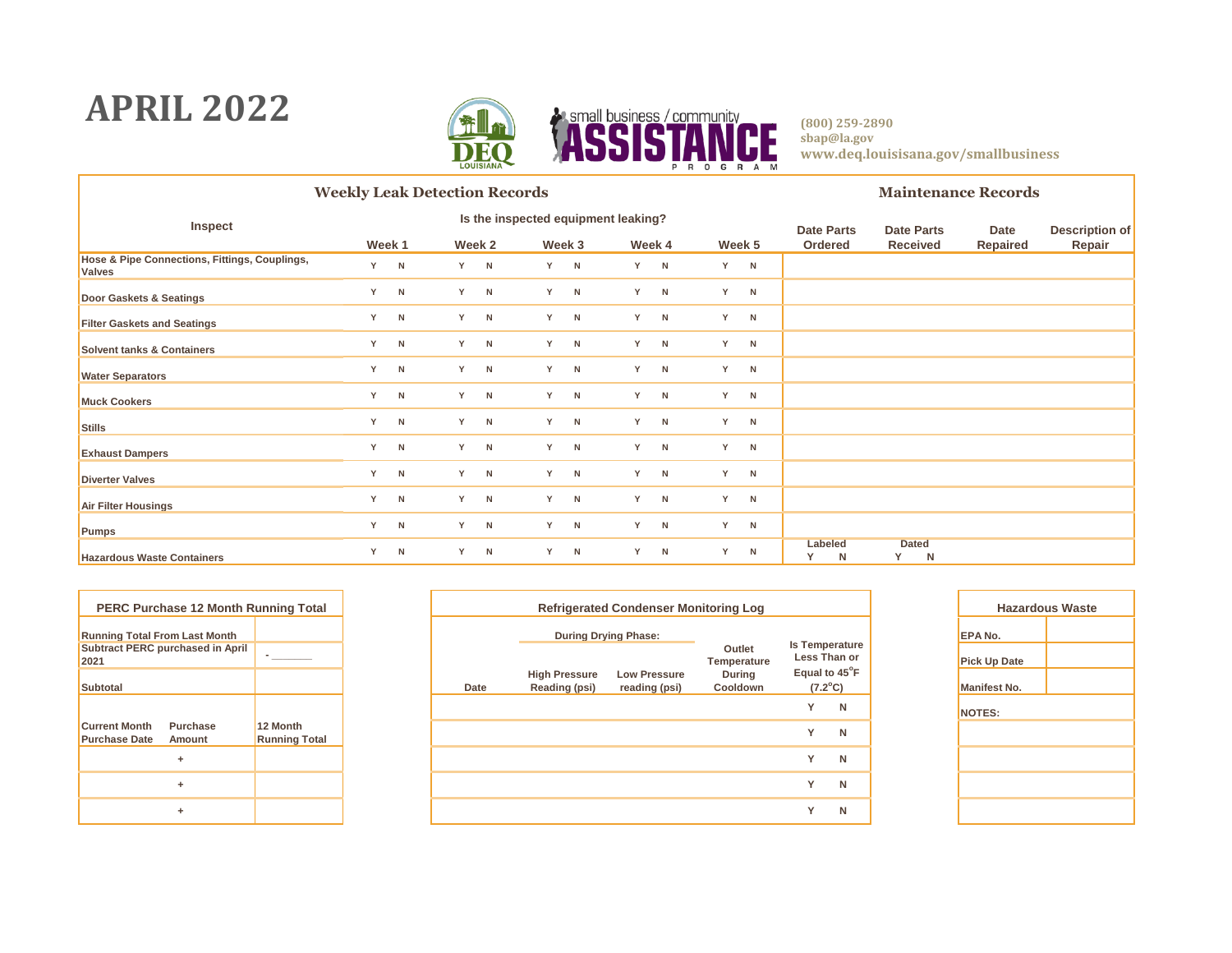### **APRIL 2022**



**(800) 259-2890 sbap@la.gov www.deq.louisisana.gov/smallbusiness**

Œ

|                                                                | <b>Weekly Leak Detection Records</b> |     |     |        |    |        |                                     |        |   |        |                   | <b>Maintenance Records</b> |                        |                 |                       |  |  |
|----------------------------------------------------------------|--------------------------------------|-----|-----|--------|----|--------|-------------------------------------|--------|---|--------|-------------------|----------------------------|------------------------|-----------------|-----------------------|--|--|
| Inspect                                                        |                                      |     |     |        |    |        | Is the inspected equipment leaking? |        |   |        | <b>Date Parts</b> |                            | <b>Date Parts</b>      | Date            | <b>Description of</b> |  |  |
|                                                                | Week 1                               |     |     | Week 2 |    | Week 3 |                                     | Week 4 |   | Week 5 | Ordered           |                            | <b>Received</b>        | <b>Repaired</b> | Repair                |  |  |
| Hose & Pipe Connections, Fittings, Couplings,<br><b>Valves</b> |                                      | Y N |     | Y N    | Y. | N      | Y                                   | N      | Y | N      |                   |                            |                        |                 |                       |  |  |
| Door Gaskets & Seatings                                        | Y                                    | N   |     | Y N    | Y. | N      | Y                                   | N      | Y | N      |                   |                            |                        |                 |                       |  |  |
| <b>Filter Gaskets and Seatings</b>                             | Y                                    | N   | Y N |        | Y. | N      | Y                                   | N      | Y | N      |                   |                            |                        |                 |                       |  |  |
| <b>Solvent tanks &amp; Containers</b>                          |                                      | Y N |     | Y N    | Y. | N      | Y                                   | N      | Y | N      |                   |                            |                        |                 |                       |  |  |
| <b>Water Separators</b>                                        |                                      | Y N |     | Y N    | Y. | N      | Y                                   | N      | Y | N      |                   |                            |                        |                 |                       |  |  |
| <b>Muck Cookers</b>                                            |                                      | Y N | Y N |        | Y. | N      | Y                                   | N      | Y | N      |                   |                            |                        |                 |                       |  |  |
| <b>Stills</b>                                                  |                                      | Y N | Y N |        | Y. | N      | Y                                   | N      | Y | N      |                   |                            |                        |                 |                       |  |  |
| <b>Exhaust Dampers</b>                                         |                                      | Y N | Y N |        | Y. | N      | Y                                   | N      | Y | N      |                   |                            |                        |                 |                       |  |  |
| <b>Diverter Valves</b>                                         |                                      | Y N |     | Y N    | Y. | N      | Y                                   | N      | Y | N      |                   |                            |                        |                 |                       |  |  |
| Air Filter Housings                                            |                                      | Y N | Y N |        | Y. | N      | Y                                   | N      | Y | N      |                   |                            |                        |                 |                       |  |  |
| Pumps                                                          |                                      | Y N | Y N |        | Y. | N      | Y                                   | N      | Y | N      |                   |                            |                        |                 |                       |  |  |
| <b>Hazardous Waste Containers</b>                              | Y                                    | N   |     | Y N    | Y  | N      | Y                                   | N      | Y | N      | Labeled<br>N      |                            | <b>Dated</b><br>Y<br>N |                 |                       |  |  |

| <b>PERC Purchase 12 Month Running Total</b>  |                                         |                                  |  |  |  |
|----------------------------------------------|-----------------------------------------|----------------------------------|--|--|--|
|                                              | <b>Running Total From Last Month</b>    |                                  |  |  |  |
| 2021                                         | <b>Subtract PERC purchased in April</b> |                                  |  |  |  |
| <b>Subtotal</b>                              |                                         |                                  |  |  |  |
|                                              |                                         |                                  |  |  |  |
| <b>Current Month</b><br><b>Purchase Date</b> | Purchase<br>Amount                      | 12 Month<br><b>Running Total</b> |  |  |  |
|                                              | ÷                                       |                                  |  |  |  |
|                                              | ÷                                       |                                  |  |  |  |
|                                              | ÷                                       |                                  |  |  |  |

| PERC Purchase 12 Month Running Total            |                                  | <b>Refrigerated Condenser Monitoring Log</b> |                                       |                                      |                           |                                       |   |  |                     |
|-------------------------------------------------|----------------------------------|----------------------------------------------|---------------------------------------|--------------------------------------|---------------------------|---------------------------------------|---|--|---------------------|
| nning Total From Last Month                     |                                  |                                              | <b>During Drying Phase:</b>           |                                      |                           |                                       |   |  | <b>EPA No.</b>      |
| btract PERC purchased in April                  |                                  |                                              |                                       |                                      | Outlet<br>Temperature     | <b>Is Temperature</b><br>Less Than or |   |  | <b>Pick Up Date</b> |
| btotal                                          |                                  | Date                                         | <b>High Pressure</b><br>Reading (psi) | <b>Low Pressure</b><br>reading (psi) | <b>During</b><br>Cooldown | Equal to 45°F<br>$(7.2^{\circ}C)$     |   |  | <b>Manifest No.</b> |
|                                                 |                                  |                                              |                                       |                                      |                           | $\checkmark$                          | N |  | NOTES:              |
| rrent Month<br>Purchase<br>chase Date<br>Amount | 12 Month<br><b>Running Total</b> |                                              |                                       |                                      |                           | $\checkmark$                          | N |  |                     |
| ÷                                               |                                  |                                              |                                       |                                      |                           | $\checkmark$                          | N |  |                     |
| ÷                                               |                                  |                                              |                                       |                                      |                           | $\checkmark$                          | N |  |                     |
| ÷                                               |                                  |                                              |                                       |                                      |                           | $\checkmark$                          | N |  |                     |
|                                                 |                                  |                                              |                                       |                                      |                           |                                       |   |  |                     |

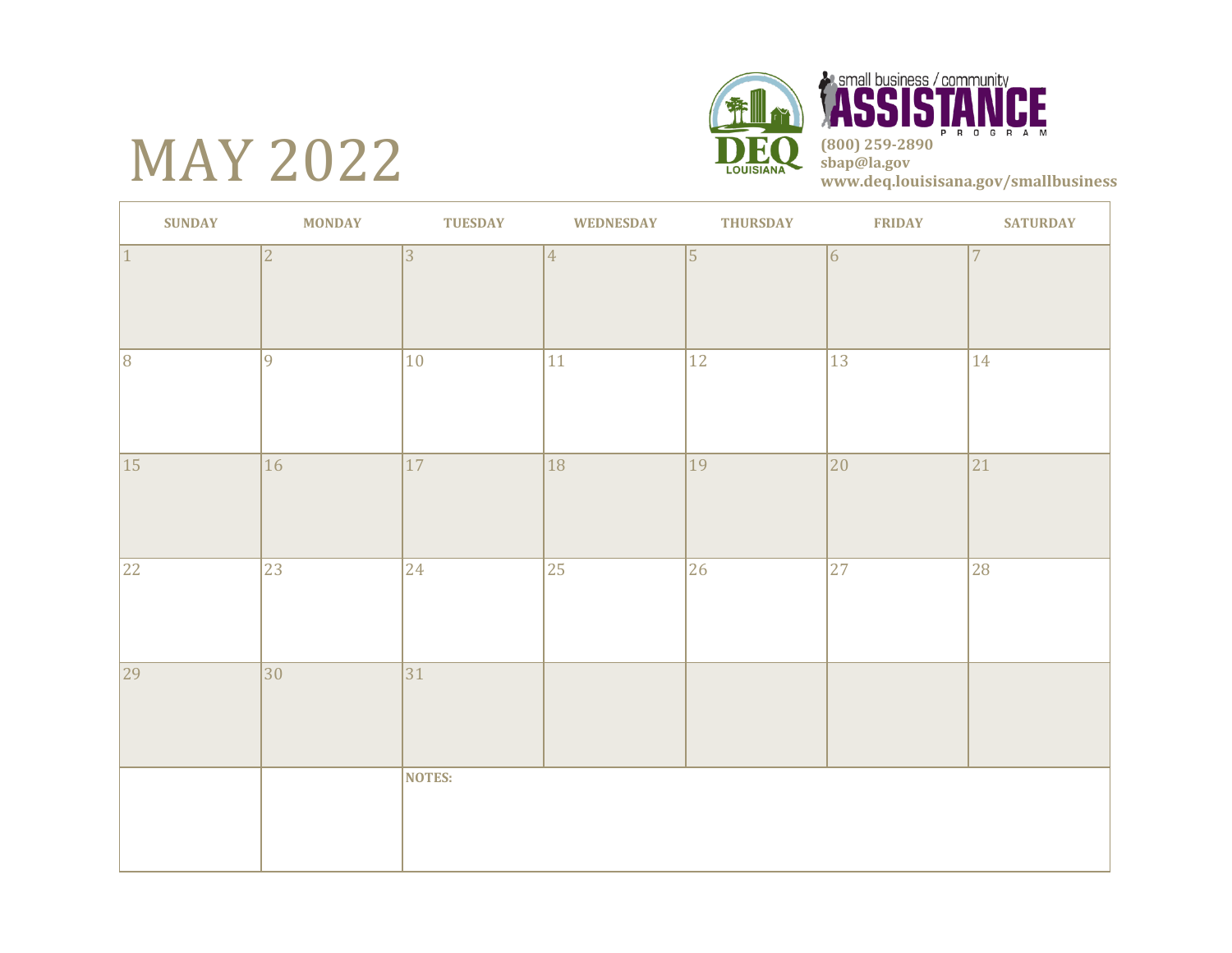# MAY 2022





| <b>SUNDAY</b>   | <b>MONDAY</b>  | <b>TUESDAY</b> | <b>WEDNESDAY</b> | <b>THURSDAY</b> | <b>FRIDAY</b>   | <b>SATURDAY</b> |
|-----------------|----------------|----------------|------------------|-----------------|-----------------|-----------------|
| $ 1\rangle$     | $\overline{2}$ | 3              | $\vert 4 \vert$  | $\vert$ 5       | $\overline{6}$  | 7               |
| $\overline{8}$  | $\overline{9}$ | 10             | 11               | 12              | 13              | 14              |
| $\overline{15}$ | 16             | 17             | 18               | 19              | 20              | $\overline{21}$ |
| 22              | 23             | 24             | $\overline{25}$  | 26              | $\overline{27}$ | $\overline{28}$ |
| $\overline{29}$ | $ 30\rangle$   | 31             |                  |                 |                 |                 |
|                 |                | NOTES:         |                  |                 |                 |                 |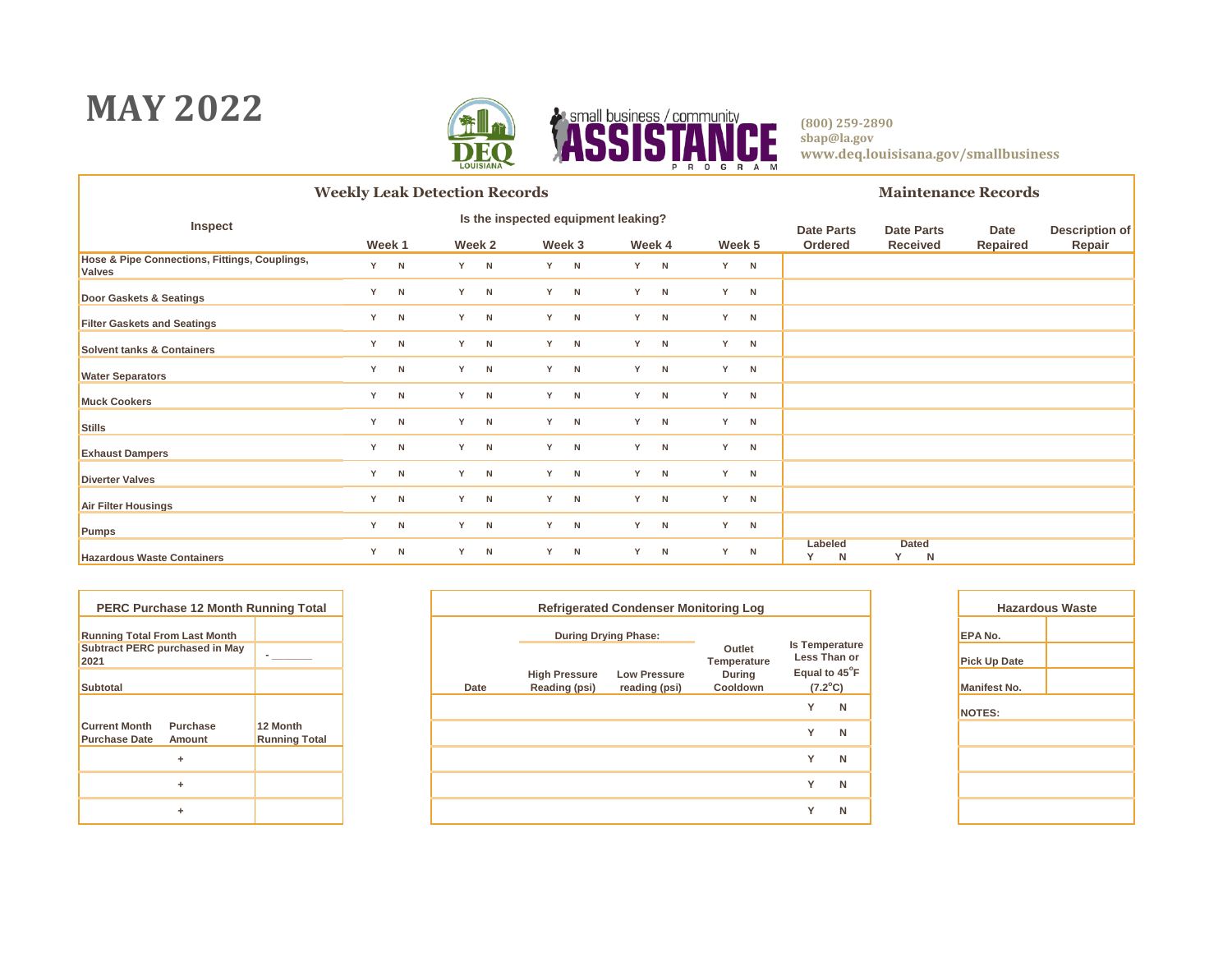### **MAY 2022**



**(800) 259-2890 sbap@la.gov www.deq.louisisana.gov/smallbusiness**

CE

|                                                                | <b>Weekly Leak Detection Records</b> |        |  |        |   |        |                                     |        |  |        |   | <b>Maintenance Records</b> |                   |   |          |                       |  |
|----------------------------------------------------------------|--------------------------------------|--------|--|--------|---|--------|-------------------------------------|--------|--|--------|---|----------------------------|-------------------|---|----------|-----------------------|--|
| <b>Inspect</b>                                                 |                                      |        |  |        |   |        | Is the inspected equipment leaking? |        |  |        |   | <b>Date Parts</b>          | <b>Date Parts</b> |   | Date     | <b>Description of</b> |  |
|                                                                |                                      | Week 1 |  | Week 2 |   | Week 3 |                                     | Week 4 |  | Week 5 |   | Ordered                    | <b>Received</b>   |   | Repaired | Repair                |  |
| Hose & Pipe Connections, Fittings, Couplings,<br><b>Valves</b> |                                      | Y N    |  | $Y$ N  |   | Y N    | Y                                   | N      |  | Y      | N |                            |                   |   |          |                       |  |
| Door Gaskets & Seatings                                        | Y                                    | N      |  | Y N    |   | Y N    | Y                                   | N      |  | Y      | N |                            |                   |   |          |                       |  |
| <b>Filter Gaskets and Seatings</b>                             | Y                                    | N      |  | Y N    |   | Y N    | Y                                   | N      |  | Y      | N |                            |                   |   |          |                       |  |
| <b>Solvent tanks &amp; Containers</b>                          | Y                                    | N      |  | $Y$ N  |   | Y N    | Y.                                  | N      |  | Y      | N |                            |                   |   |          |                       |  |
| <b>Water Separators</b>                                        | Y                                    | N      |  | $Y$ N  |   | Y N    | Y                                   | N      |  | Y      | N |                            |                   |   |          |                       |  |
| <b>Muck Cookers</b>                                            | Y                                    | N      |  | Y N    |   | Y N    | Y                                   | N      |  | Y      | N |                            |                   |   |          |                       |  |
| Stills                                                         | Y                                    | N      |  | Y N    |   | Y N    | Y                                   | N      |  | Y      | N |                            |                   |   |          |                       |  |
| <b>Exhaust Dampers</b>                                         | Y                                    | N      |  | Y N    |   | Y N    | Y                                   | N      |  | Y      | N |                            |                   |   |          |                       |  |
| <b>Diverter Valves</b>                                         | Y                                    | N      |  | Y N    |   | Y N    | Y                                   | N      |  | Y      | N |                            |                   |   |          |                       |  |
| Air Filter Housings                                            | Y                                    | N      |  | Y N    |   | Y N    | Y                                   | N      |  | Y      | N |                            |                   |   |          |                       |  |
| Pumps                                                          | Y                                    | N      |  | Y N    |   | Y N    | Y                                   | N      |  | Y      | N |                            |                   |   |          |                       |  |
| <b>Hazardous Waste Containers</b>                              | Y                                    | N      |  | Y N    | Y | N      | Y                                   | N      |  | Y      | N | Labeled<br>N               | <b>Dated</b><br>Y | N |          |                       |  |

| <b>PERC Purchase 12 Month Running Total</b>  |                                       |                                  |  |
|----------------------------------------------|---------------------------------------|----------------------------------|--|
| <b>Running Total From Last Month</b>         |                                       |                                  |  |
| 2021                                         | <b>Subtract PERC purchased in May</b> |                                  |  |
| <b>Subtotal</b>                              |                                       |                                  |  |
|                                              |                                       |                                  |  |
| <b>Current Month</b><br><b>Purchase Date</b> | Purchase<br>Amount                    | 12 Month<br><b>Running Total</b> |  |
|                                              | ٠                                     |                                  |  |
|                                              | ٠                                     |                                  |  |
|                                              | ٠                                     |                                  |  |

| PERC Purchase 12 Month Running Total             |                                  | <b>Refrigerated Condenser Monitoring Log</b> |                                       |                                      |                           |                               |   |  |                     |
|--------------------------------------------------|----------------------------------|----------------------------------------------|---------------------------------------|--------------------------------------|---------------------------|-------------------------------|---|--|---------------------|
| nning Total From Last Month                      |                                  |                                              | <b>During Drying Phase:</b>           |                                      |                           | <b>Is Temperature</b>         |   |  | <b>EPA No.</b>      |
| btract PERC purchased in May                     |                                  |                                              |                                       |                                      | Outlet<br>Temperature     | Less Than or<br>Equal to 45°F |   |  | <b>Pick Up Date</b> |
| btotal                                           |                                  | Date                                         | <b>High Pressure</b><br>Reading (psi) | <b>Low Pressure</b><br>reading (psi) | <b>During</b><br>Cooldown | $(7.2^{\circ}C)$              |   |  | <b>Manifest No.</b> |
|                                                  |                                  |                                              |                                       |                                      |                           | $\checkmark$                  | N |  | NOTES:              |
| rrent Month<br>Purchase<br>rchase Date<br>Amount | 12 Month<br><b>Running Total</b> |                                              |                                       |                                      |                           | $\checkmark$                  | N |  |                     |
| ÷                                                |                                  |                                              |                                       |                                      |                           | $\checkmark$                  | N |  |                     |
| ÷                                                |                                  |                                              |                                       |                                      |                           | $\checkmark$                  | N |  |                     |
| ٠                                                |                                  |                                              |                                       |                                      |                           | $\checkmark$                  | N |  |                     |
|                                                  |                                  |                                              |                                       |                                      |                           |                               |   |  |                     |

| <b>Hazardous Waste</b> |  |  |  |  |  |  |  |  |
|------------------------|--|--|--|--|--|--|--|--|
| EPA No.                |  |  |  |  |  |  |  |  |
| <b>Pick Up Date</b>    |  |  |  |  |  |  |  |  |
| <b>Manifest No.</b>    |  |  |  |  |  |  |  |  |
| <b>NOTES:</b>          |  |  |  |  |  |  |  |  |
|                        |  |  |  |  |  |  |  |  |
|                        |  |  |  |  |  |  |  |  |
|                        |  |  |  |  |  |  |  |  |
|                        |  |  |  |  |  |  |  |  |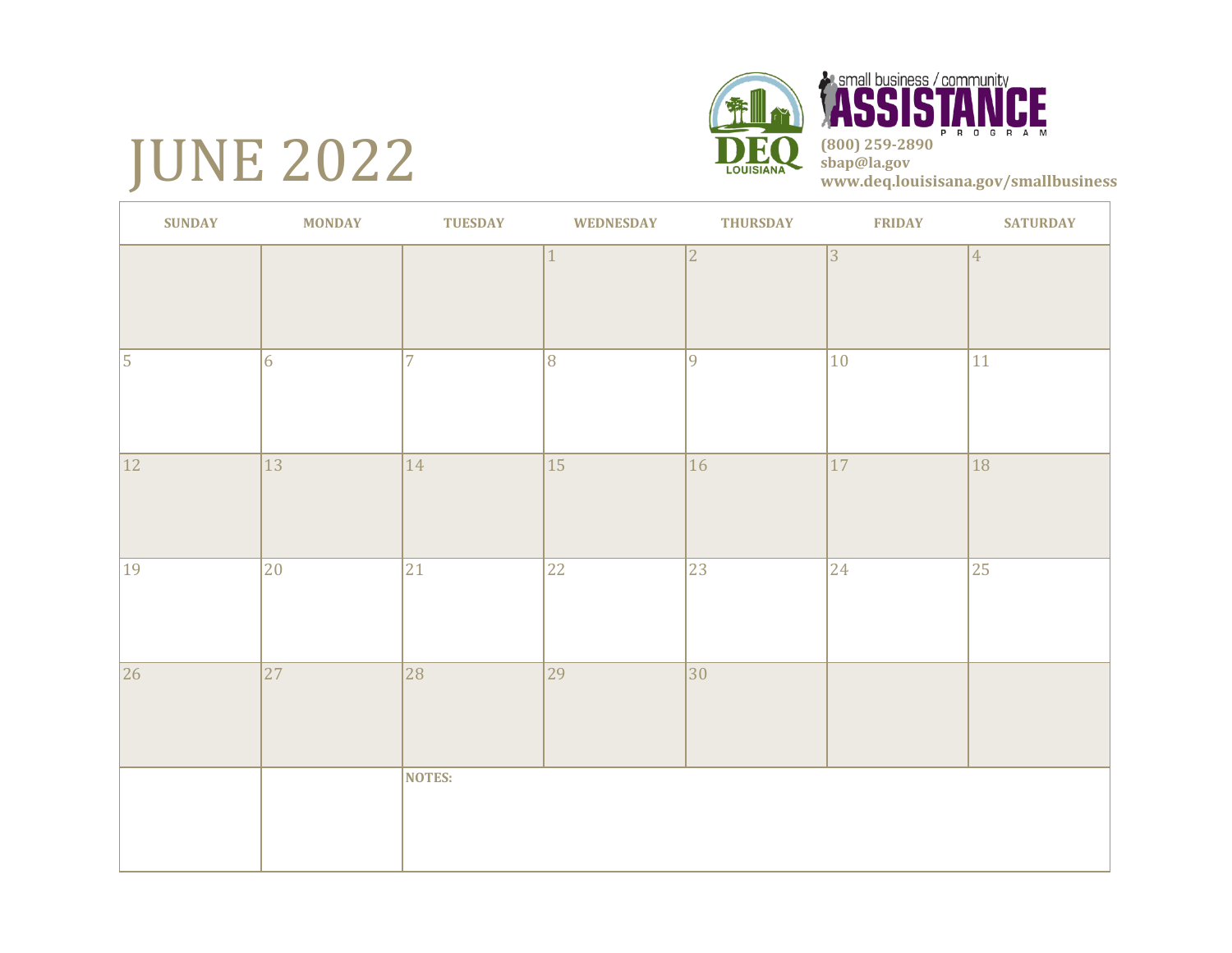# JUNE 2022





| <b>SUNDAY</b>   | <b>MONDAY</b>   | <b>TUESDAY</b> | <b>WEDNESDAY</b> | <b>THURSDAY</b> | <b>FRIDAY</b>   | <b>SATURDAY</b> |
|-----------------|-----------------|----------------|------------------|-----------------|-----------------|-----------------|
|                 |                 |                | $\mathbf{1}$     | $\overline{2}$  | 3               | $\vert 4 \vert$ |
|                 |                 |                |                  |                 |                 |                 |
| 5               | $\vert 6 \vert$ | $\overline{7}$ | 8                | $ 9\rangle$     | 10              | 11              |
| $\overline{12}$ | $\overline{13}$ | 14             | 15               | $\overline{16}$ | $\overline{17}$ | $\overline{18}$ |
| 19              | $ 20\rangle$    | 21             | 22               | 23              | $ 24\rangle$    | 25              |
| $\overline{26}$ | $\overline{27}$ | 28             | 29               | $\overline{30}$ |                 |                 |
|                 |                 | NOTES:         |                  |                 |                 |                 |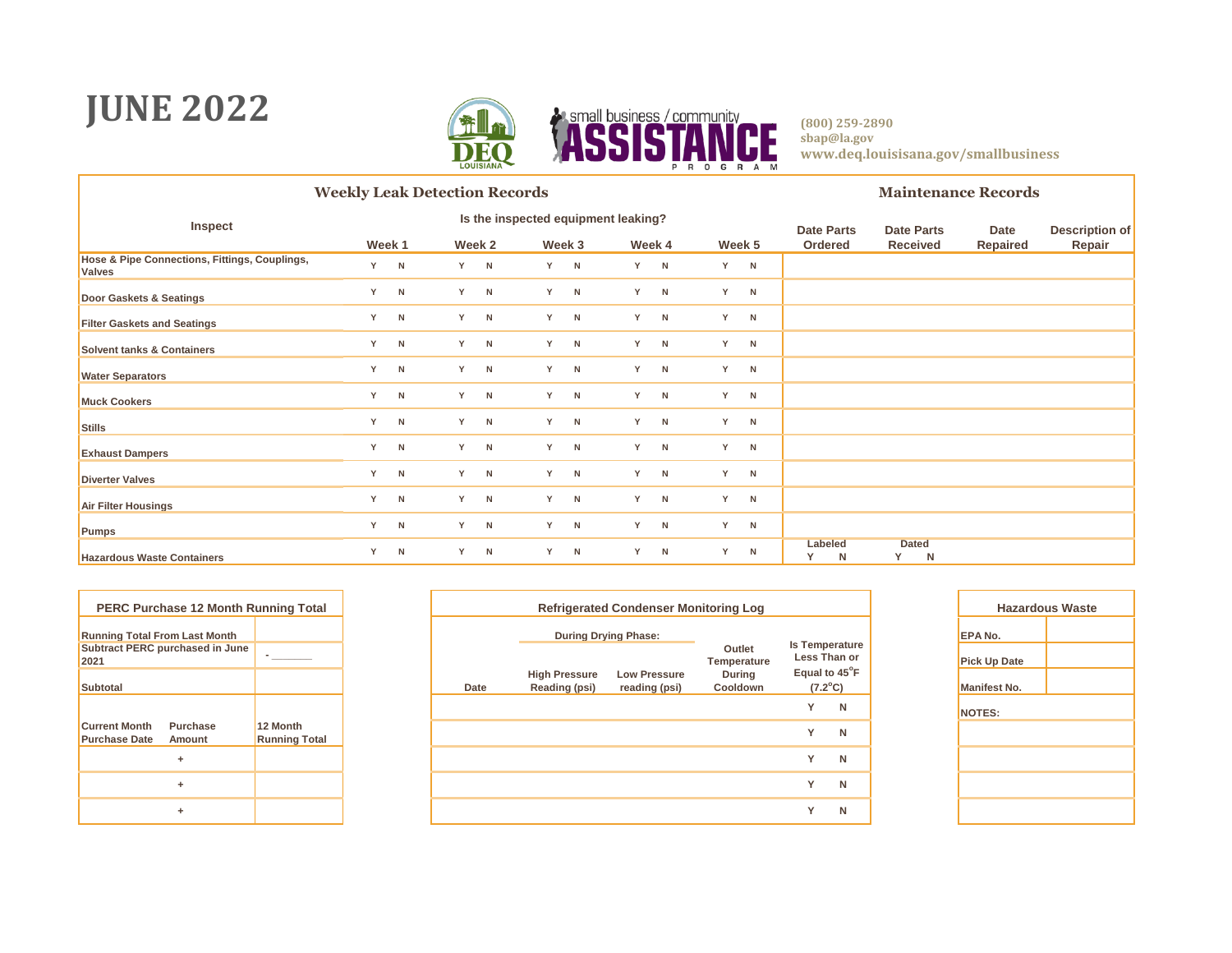### **JUNE 2022**



**(800) 259-2890 sbap@la.gov www.deq.louisisana.gov/smallbusiness**

CE.

|                                                                |   |        | <b>Weekly Leak Detection Records</b> |              |    |        |                                     |        |   |        |   |                   |                   |   | <b>Maintenance Records</b> |                       |
|----------------------------------------------------------------|---|--------|--------------------------------------|--------------|----|--------|-------------------------------------|--------|---|--------|---|-------------------|-------------------|---|----------------------------|-----------------------|
| Inspect                                                        |   |        |                                      |              |    |        | Is the inspected equipment leaking? |        |   |        |   | <b>Date Parts</b> | <b>Date Parts</b> |   | Date                       | <b>Description of</b> |
|                                                                |   | Week 1 |                                      | Week 2       |    | Week 3 |                                     | Week 4 |   | Week 5 |   | Ordered           | <b>Received</b>   |   | <b>Repaired</b>            | Repair                |
| Hose & Pipe Connections, Fittings, Couplings,<br><b>Valves</b> |   | Y N    |                                      | Y N          | Y. | N      | Y                                   | N      |   | Y      | N |                   |                   |   |                            |                       |
| Door Gaskets & Seatings                                        | Y | N      |                                      | Y N          | Y. | N      | Y                                   | N      |   | Y      | N |                   |                   |   |                            |                       |
| <b>Filter Gaskets and Seatings</b>                             | Y | N      |                                      | Y N          | Y  | N      | Y                                   | N      |   | Y      | N |                   |                   |   |                            |                       |
| <b>Solvent tanks &amp; Containers</b>                          | Y | N      |                                      | Y N          | Y  | N      | Y                                   | N      |   | Y      | N |                   |                   |   |                            |                       |
| <b>Water Separators</b>                                        | Y | N      |                                      | Y N          | Y  | N      | Y                                   | N      |   | Y      | N |                   |                   |   |                            |                       |
| <b>Muck Cookers</b>                                            | Y | N      |                                      | $Y$ N        | Y  | N      | Y                                   | N      |   | Y      | N |                   |                   |   |                            |                       |
| Stills                                                         | Y | N      |                                      | Y N          | Y  | N      | Y                                   | N      |   | Y      | N |                   |                   |   |                            |                       |
| <b>Exhaust Dampers</b>                                         | Y | N      |                                      | Y N          | Y  | N      | Y                                   | N      |   | Y      | N |                   |                   |   |                            |                       |
| <b>Diverter Valves</b>                                         | Y | N      |                                      | Y N          | Y  | N      | Y                                   | N      |   | Y      | N |                   |                   |   |                            |                       |
| Air Filter Housings                                            | Y | N      |                                      | $Y$ N        | Y  | N      | Y                                   | N      |   | Y      | N |                   |                   |   |                            |                       |
| Pumps                                                          | Y | N      |                                      | Y N          | Y. | N      | Y                                   | N      |   | Y      | N |                   |                   |   |                            |                       |
| <b>Hazardous Waste Containers</b>                              | Y | N      | Y                                    | $\mathsf{N}$ | Y  | N      | Y                                   | N      | Y |        | N | Labeled<br>N      | <b>Dated</b><br>Y | N |                            |                       |

|                                              | <b>PERC Purchase 12 Month Running Total</b> |                                  |
|----------------------------------------------|---------------------------------------------|----------------------------------|
| <b>Running Total From Last Month</b>         |                                             |                                  |
| 2021                                         | Subtract PERC purchased in June             |                                  |
| <b>Subtotal</b>                              |                                             |                                  |
|                                              |                                             |                                  |
| <b>Current Month</b><br><b>Purchase Date</b> | Purchase<br>Amount                          | 12 Month<br><b>Running Total</b> |
|                                              | ٠                                           |                                  |
|                                              | ٠                                           |                                  |
|                                              | ٠                                           |                                  |

| PERC Purchase 12 Month Running Total             |                                  |      |                                       | <b>Refrigerated Condenser Monitoring Log</b> |                           |                               |   | Haza                |
|--------------------------------------------------|----------------------------------|------|---------------------------------------|----------------------------------------------|---------------------------|-------------------------------|---|---------------------|
| nning Total From Last Month                      |                                  |      | <b>During Drying Phase:</b>           |                                              |                           | <b>Is Temperature</b>         |   | <b>EPA No.</b>      |
| btract PERC purchased in June                    |                                  |      |                                       |                                              | Outlet<br>Temperature     | Less Than or<br>Equal to 45°F |   | <b>Pick Up Date</b> |
| btotal                                           |                                  | Date | <b>High Pressure</b><br>Reading (psi) | <b>Low Pressure</b><br>reading (psi)         | <b>During</b><br>Cooldown | $(7.2^{\circ}C)$              |   | <b>Manifest No.</b> |
|                                                  |                                  |      |                                       |                                              |                           | $\checkmark$                  | N | NOTES:              |
| rrent Month<br>Purchase<br>rchase Date<br>Amount | 12 Month<br><b>Running Total</b> |      |                                       |                                              |                           | $\checkmark$                  | N |                     |
| ÷                                                |                                  |      |                                       |                                              |                           | $\checkmark$                  | N |                     |
| ÷                                                |                                  |      |                                       |                                              |                           | $\checkmark$                  | N |                     |
| ٠                                                |                                  |      |                                       |                                              |                           | $\checkmark$                  | N |                     |
|                                                  |                                  |      |                                       |                                              |                           |                               |   |                     |

|                     | <b>Hazardous Waste</b> |
|---------------------|------------------------|
| EPA No.             |                        |
| <b>Pick Up Date</b> |                        |
| <b>Manifest No.</b> |                        |
| <b>NOTES:</b>       |                        |
|                     |                        |
|                     |                        |
|                     |                        |
|                     |                        |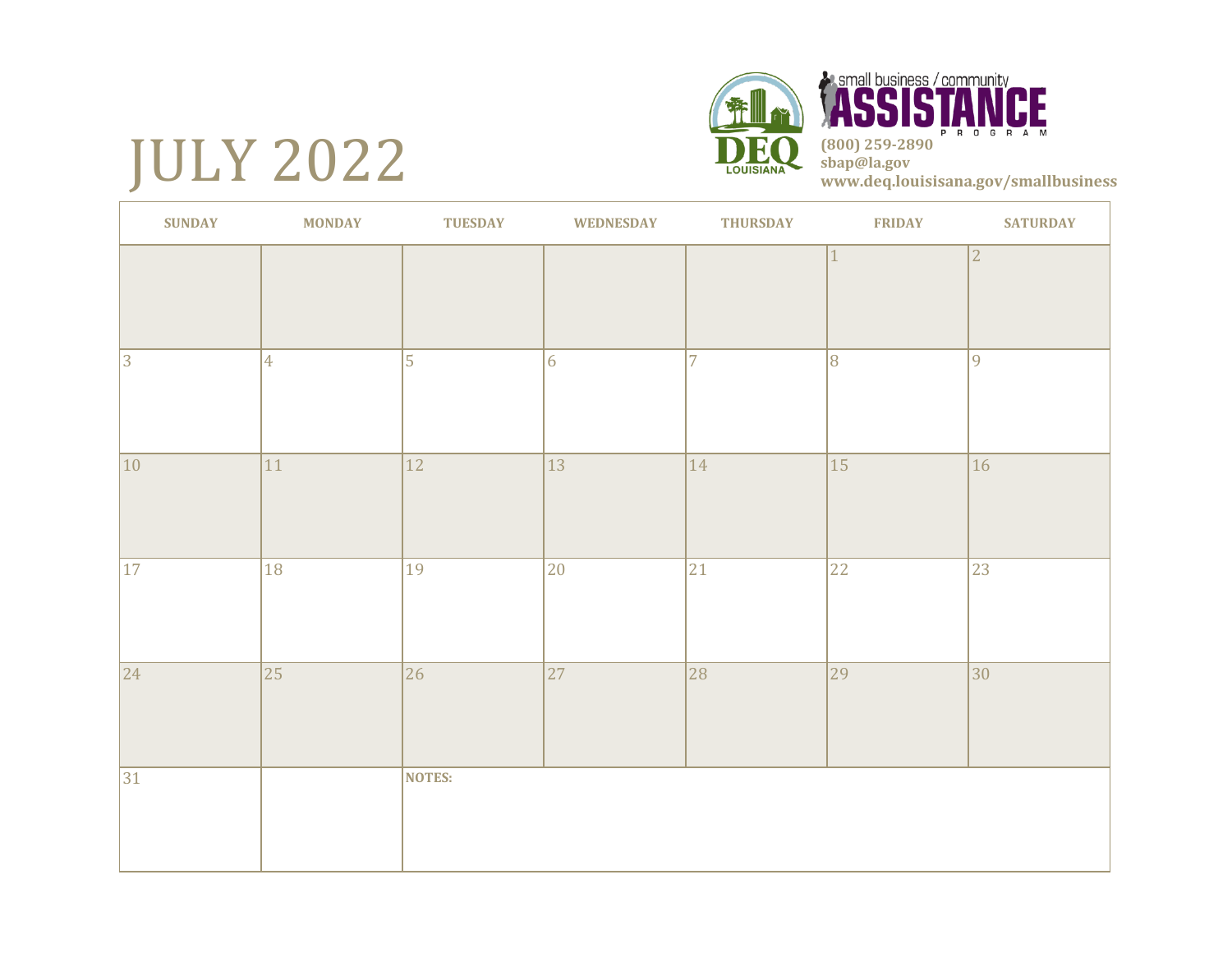# JULY 2022





| <b>SUNDAY</b> | <b>MONDAY</b>   | <b>TUESDAY</b>  | <b>WEDNESDAY</b> | <b>THURSDAY</b> | <b>FRIDAY</b>  | <b>SATURDAY</b> |
|---------------|-----------------|-----------------|------------------|-----------------|----------------|-----------------|
|               |                 |                 |                  |                 |                | $\overline{2}$  |
| $ 3\rangle$   | $\overline{4}$  | $\overline{5}$  | $ 6\rangle$      | $\overline{7}$  | $\overline{8}$ | $\overline{9}$  |
| 10            | 11              | 12              | $ 13\rangle$     | 14              | 15             | $ 16\rangle$    |
| 17            | 18              | 19              | 20               | 21              | 22             | 23              |
| $ 24\rangle$  | $\overline{25}$ | $\overline{26}$ | $\overline{27}$  | 28              | 29             | $ 30\rangle$    |
| 31            |                 | NOTES:          |                  |                 |                |                 |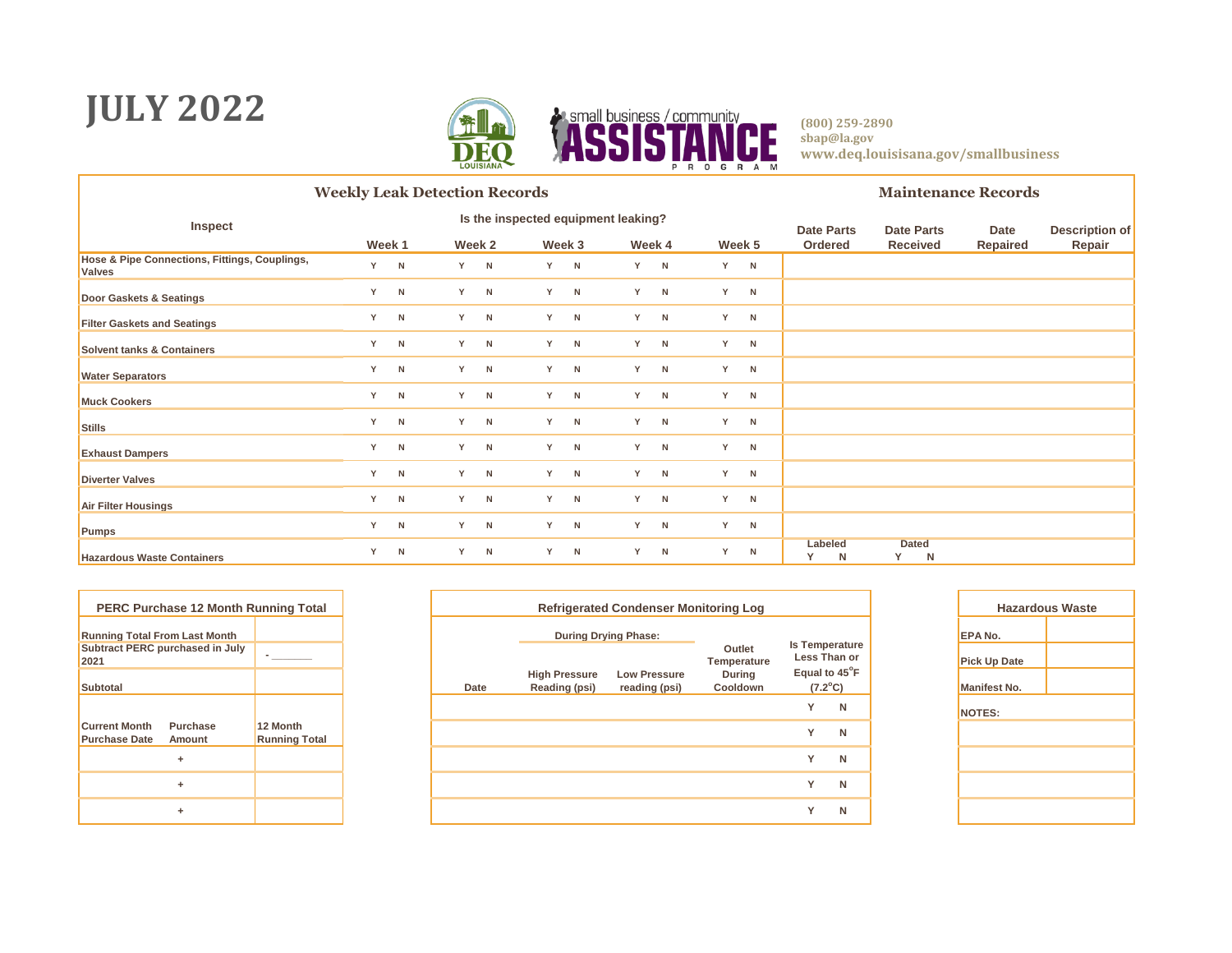### **JULY 2022**



**(800) 259-2890 sbap@la.gov www.deq.louisisana.gov/smallbusiness**

CE.

|                                                                |        |     | <b>Weekly Leak Detection Records</b> |        |    |        |                                     |        |   |        |  |                   |                        | <b>Maintenance Records</b> |                       |
|----------------------------------------------------------------|--------|-----|--------------------------------------|--------|----|--------|-------------------------------------|--------|---|--------|--|-------------------|------------------------|----------------------------|-----------------------|
| Inspect                                                        |        |     |                                      |        |    |        | Is the inspected equipment leaking? |        |   |        |  | <b>Date Parts</b> | <b>Date Parts</b>      | Date                       | <b>Description of</b> |
|                                                                | Week 1 |     |                                      | Week 2 |    | Week 3 |                                     | Week 4 |   | Week 5 |  | Ordered           | Received               | Repaired                   | Repair                |
| Hose & Pipe Connections, Fittings, Couplings,<br><b>Valves</b> |        | Y N |                                      | Y N    | Y. | N      | Y                                   | N      | Y | N      |  |                   |                        |                            |                       |
| Door Gaskets & Seatings                                        | Y      | N   |                                      | Y N    | Y  | N      | Y                                   | N      | Y | N      |  |                   |                        |                            |                       |
| <b>Filter Gaskets and Seatings</b>                             | Y      | N   |                                      | Y N    | Y  | N      | Y                                   | N      | Y | N      |  |                   |                        |                            |                       |
| Solvent tanks & Containers                                     | Y      | N   |                                      | Y N    | Y  | N      | Y                                   | N      | Y | N      |  |                   |                        |                            |                       |
| <b>Water Separators</b>                                        | Y      | N   |                                      | Y N    | Y  | N      | Y                                   | N      | Y | N      |  |                   |                        |                            |                       |
| <b>Muck Cookers</b>                                            | Y      | N   |                                      | $Y$ N  | Y  | N      | Y                                   | N      | Y | N      |  |                   |                        |                            |                       |
| Stills                                                         | Y      | N   |                                      | Y N    | Y  | N      | Y                                   | N      | Y | N      |  |                   |                        |                            |                       |
| <b>Exhaust Dampers</b>                                         | Y      | N   |                                      | Y N    | Y  | N      | Y                                   | N      | Y | N      |  |                   |                        |                            |                       |
| <b>Diverter Valves</b>                                         | Y      | N   |                                      | Y N    | Y  | N      | Y                                   | N      | Y | N      |  |                   |                        |                            |                       |
| Air Filter Housings                                            | Y      | N   |                                      | Y N    | Y  | N      | Y                                   | N      | Y | N      |  |                   |                        |                            |                       |
| Pumps                                                          | Y      | N   |                                      | Y N    | Y  | N      | Y                                   | N      | Y | N      |  |                   |                        |                            |                       |
| <b>Hazardous Waste Containers</b>                              | Y      | N   |                                      | Y N    | Y  | N      | Y                                   | N      | Y | N      |  | Labeled<br>Y<br>N | <b>Dated</b><br>Y<br>N |                            |                       |

|                                              | <b>PERC Purchase 12 Month Running Total</b> |                                  |
|----------------------------------------------|---------------------------------------------|----------------------------------|
| <b>Running Total From Last Month</b>         |                                             |                                  |
| 2021                                         | Subtract PERC purchased in July             |                                  |
| Subtotal                                     |                                             |                                  |
|                                              |                                             |                                  |
| <b>Current Month</b><br><b>Purchase Date</b> | Purchase<br>Amount                          | 12 Month<br><b>Running Total</b> |
|                                              | ٠                                           |                                  |
|                                              | ٠                                           |                                  |
|                                              | ٠                                           |                                  |

| PERC Purchase 12 Month Running Total             |                                  |      |                                       | <b>Refrigerated Condenser Monitoring Log</b> |                           |                               |   | Haza                |
|--------------------------------------------------|----------------------------------|------|---------------------------------------|----------------------------------------------|---------------------------|-------------------------------|---|---------------------|
| nning Total From Last Month                      |                                  |      | <b>During Drying Phase:</b>           |                                              |                           | <b>Is Temperature</b>         |   | <b>EPA No.</b>      |
| btract PERC purchased in July                    |                                  |      |                                       |                                              | Outlet<br>Temperature     | Less Than or<br>Equal to 45°F |   | <b>Pick Up Date</b> |
| btotal                                           |                                  | Date | <b>High Pressure</b><br>Reading (psi) | <b>Low Pressure</b><br>reading (psi)         | <b>During</b><br>Cooldown | $(7.2^{\circ}C)$              |   | <b>Manifest No.</b> |
|                                                  |                                  |      |                                       |                                              |                           | $\checkmark$                  | N | NOTES:              |
| rrent Month<br>Purchase<br>rchase Date<br>Amount | 12 Month<br><b>Running Total</b> |      |                                       |                                              |                           | $\checkmark$                  | N |                     |
| ÷                                                |                                  |      |                                       |                                              |                           | $\checkmark$                  | N |                     |
| ÷                                                |                                  |      |                                       |                                              |                           | $\checkmark$                  | N |                     |
| ٠                                                |                                  |      |                                       |                                              |                           | $\checkmark$                  | N |                     |
|                                                  |                                  |      |                                       |                                              |                           |                               |   |                     |

| <b>Hazardous Waste</b> |  |  |  |  |  |  |  |  |  |  |  |
|------------------------|--|--|--|--|--|--|--|--|--|--|--|
| EPA No.                |  |  |  |  |  |  |  |  |  |  |  |
| <b>Pick Up Date</b>    |  |  |  |  |  |  |  |  |  |  |  |
| <b>Manifest No.</b>    |  |  |  |  |  |  |  |  |  |  |  |
| <b>NOTES:</b>          |  |  |  |  |  |  |  |  |  |  |  |
|                        |  |  |  |  |  |  |  |  |  |  |  |
|                        |  |  |  |  |  |  |  |  |  |  |  |
|                        |  |  |  |  |  |  |  |  |  |  |  |
|                        |  |  |  |  |  |  |  |  |  |  |  |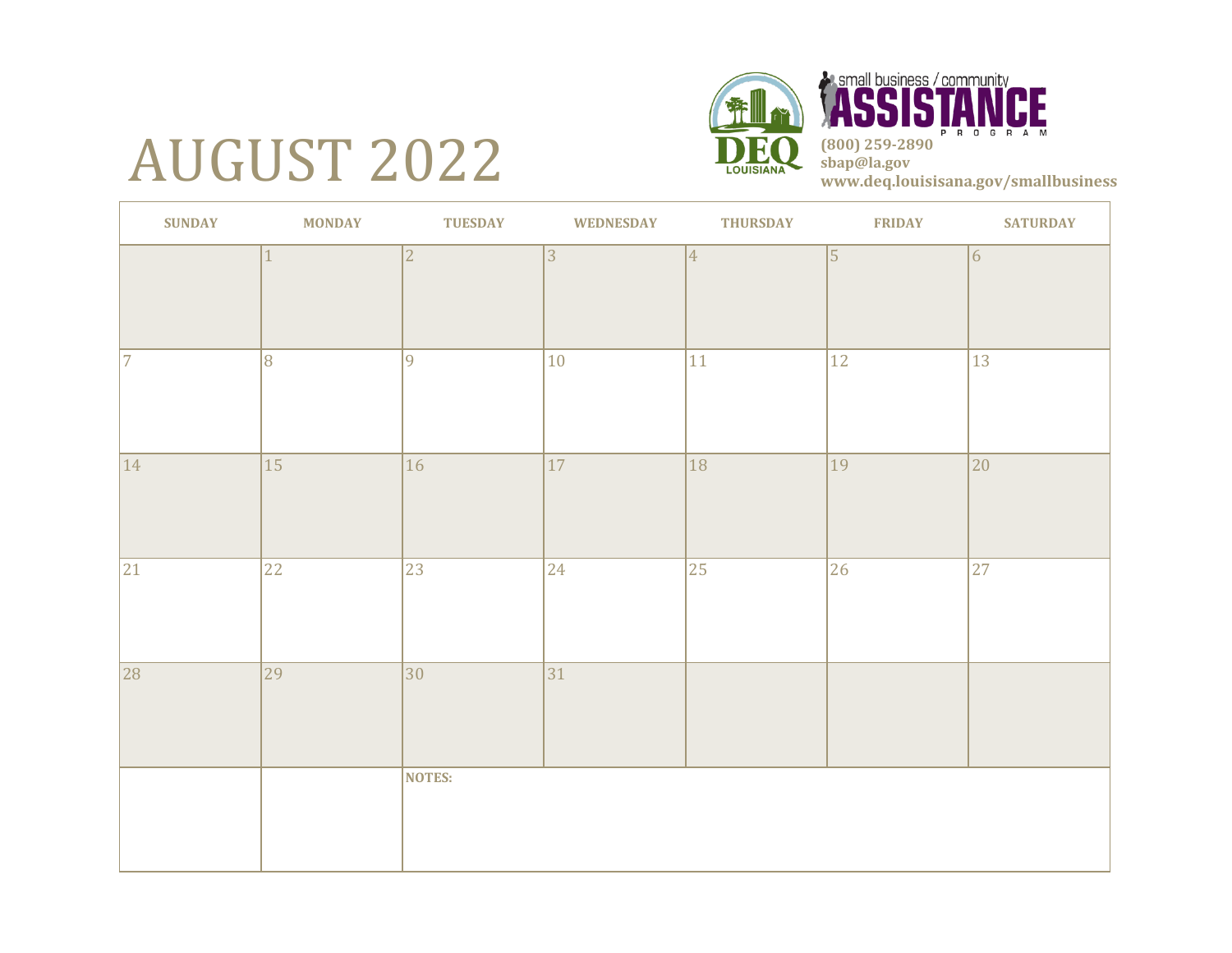# AUGUST 2022



**A small business / community** CE P R O G R A **(800) 259-2890 sbap@la.gov www.deq.louisisana.gov/smallbusiness**

| <b>SUNDAY</b> | <b>MONDAY</b> | <b>TUESDAY</b>  | <b>WEDNESDAY</b> | <b>THURSDAY</b> | <b>FRIDAY</b>   | <b>SATURDAY</b> |
|---------------|---------------|-----------------|------------------|-----------------|-----------------|-----------------|
|               | $\mathbf{1}$  | $\overline{2}$  | 3                | $ 4\rangle$     | $\vert$ 5       | 6               |
| 7             | 8             | 9               | 10               | $ 11\rangle$    | 12              | $ 13\rangle$    |
| $ 14\rangle$  | 15            | $\overline{16}$ | 17               | 18              | $\overline{19}$ | $ 20\rangle$    |
| 21            | $ 22\rangle$  | 23              | 24               | $ 25\rangle$    | 26              | $ 27\rangle$    |
| 28            | 29            | 30              | 31               |                 |                 |                 |
|               |               | <b>NOTES:</b>   |                  |                 |                 |                 |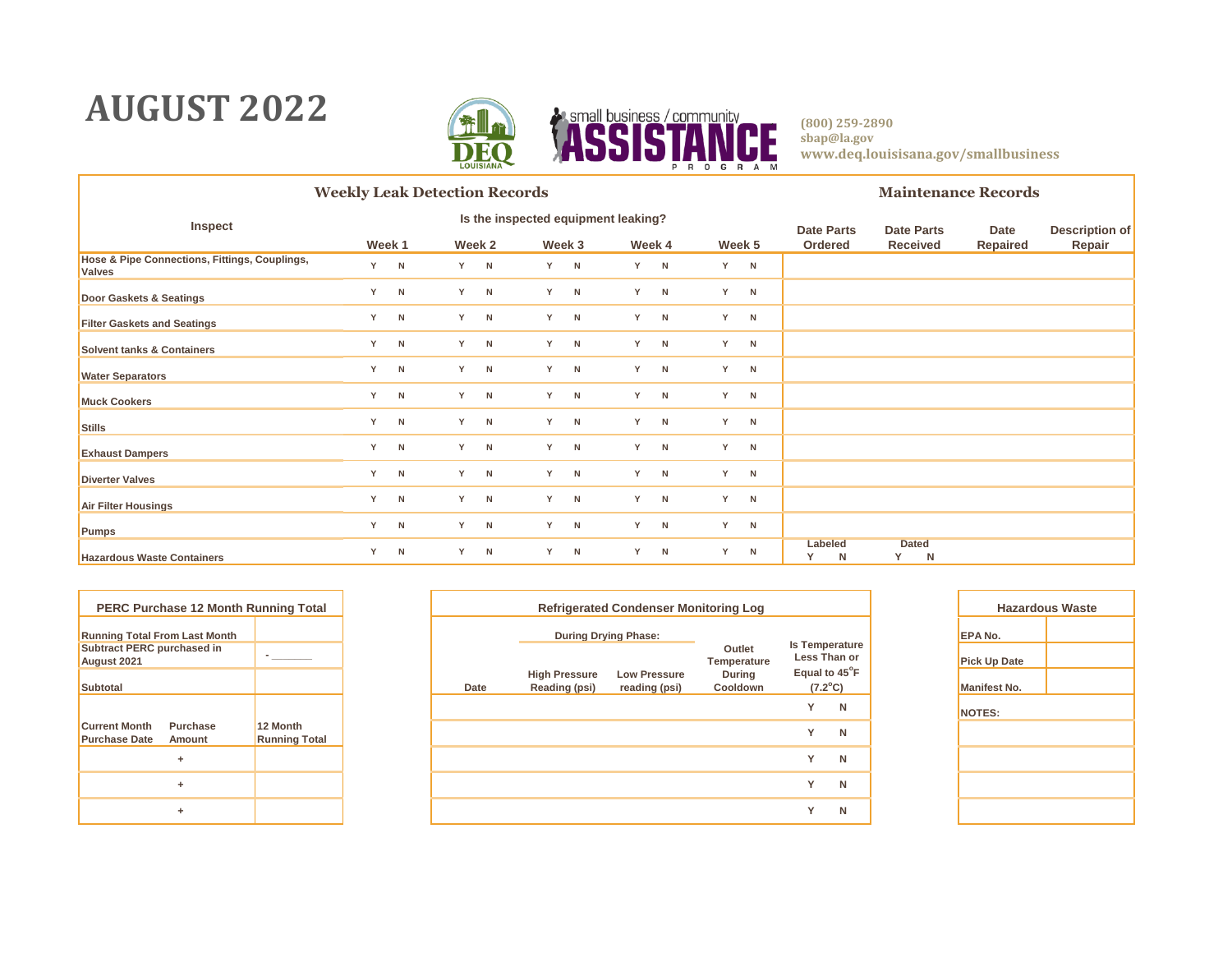### **AUGUST 2022**



|                                                                |        |   | <b>Weekly Leak Detection Records</b> |        |     |        |                                     |        |   |        |  |                   |                        | <b>Maintenance Records</b> |                       |
|----------------------------------------------------------------|--------|---|--------------------------------------|--------|-----|--------|-------------------------------------|--------|---|--------|--|-------------------|------------------------|----------------------------|-----------------------|
| Inspect                                                        |        |   |                                      |        |     |        | Is the inspected equipment leaking? |        |   |        |  | <b>Date Parts</b> | <b>Date Parts</b>      | Date                       | <b>Description of</b> |
|                                                                | Week 1 |   |                                      | Week 2 |     | Week 3 |                                     | Week 4 |   | Week 5 |  | Ordered           | <b>Received</b>        | Repaired                   | Repair                |
| Hose & Pipe Connections, Fittings, Couplings,<br><b>Valves</b> | Y.     | N | Y N                                  |        | Y N |        | Y                                   | N      | Y | N      |  |                   |                        |                            |                       |
| Door Gaskets & Seatings                                        | Y      | N |                                      | Y N    |     | Y N    | Y.                                  | N      | Y | N      |  |                   |                        |                            |                       |
| <b>Filter Gaskets and Seatings</b>                             | Y      | N |                                      | Y N    | Y   | N      | Y                                   | N      | Y | N      |  |                   |                        |                            |                       |
| <b>Solvent tanks &amp; Containers</b>                          | Y      | N |                                      | Y N    |     | Y N    | Y                                   | N      | Y | N      |  |                   |                        |                            |                       |
| <b>Water Separators</b>                                        | Y      | N |                                      | Y N    | Y - | N      | Y                                   | N      | Y | N      |  |                   |                        |                            |                       |
| <b>Muck Cookers</b>                                            | Y      | N |                                      | Y N    |     | Y N    | Y                                   | N      | Y | N      |  |                   |                        |                            |                       |
| <b>Stills</b>                                                  | Y      | N | Y N                                  |        | Y.  | N      | Y                                   | N      | Y | N      |  |                   |                        |                            |                       |
| <b>Exhaust Dampers</b>                                         | Y      | N |                                      | Y N    |     | Y N    | Y                                   | N      | Y | N      |  |                   |                        |                            |                       |
| <b>Diverter Valves</b>                                         | Y      | N |                                      | Y N    |     | Y N    | Y                                   | N      | Y | N      |  |                   |                        |                            |                       |
| <b>Air Filter Housings</b>                                     | Y      | N |                                      | Y N    |     | Y N    | Y                                   | N      | Y | N      |  |                   |                        |                            |                       |
| <b>Pumps</b>                                                   | Y      | N | Y N                                  |        |     | Y N    | Y                                   | N      | Y | N      |  |                   |                        |                            |                       |
| <b>Hazardous Waste Containers</b>                              | Y      | N |                                      | Y N    | Y.  | N      | Y                                   | N      | Y | N      |  | Labeled<br>N      | <b>Dated</b><br>Y<br>N |                            |                       |

| <b>PERC Purchase 12 Month Running Total</b>      |                    |                                  |  |  |
|--------------------------------------------------|--------------------|----------------------------------|--|--|
| <b>Running Total From Last Month</b>             |                    |                                  |  |  |
| <b>Subtract PERC purchased in</b><br>August 2021 |                    |                                  |  |  |
| <b>Subtotal</b>                                  |                    |                                  |  |  |
|                                                  |                    |                                  |  |  |
| <b>Current Month</b><br><b>Purchase Date</b>     | Purchase<br>Amount | 12 Month<br><b>Running Total</b> |  |  |
|                                                  | ÷                  |                                  |  |  |
|                                                  | ÷                  |                                  |  |  |
|                                                  | ÷                  |                                  |  |  |

| PERC Purchase 12 Month Running Total             |                                  |      | <b>Refrigerated Condenser Monitoring Log</b> |                                      | Haza                      |                                   |   |                     |  |
|--------------------------------------------------|----------------------------------|------|----------------------------------------------|--------------------------------------|---------------------------|-----------------------------------|---|---------------------|--|
| nning Total From Last Month                      |                                  |      | <b>During Drying Phase:</b>                  |                                      |                           | <b>Is Temperature</b>             |   | <b>EPA No.</b>      |  |
| btract PERC purchased in<br>qust 2021            |                                  |      |                                              |                                      | Outlet<br>Temperature     | Less Than or                      |   | <b>Pick Up Date</b> |  |
| btotal                                           |                                  | Date | <b>High Pressure</b><br>Reading (psi)        | <b>Low Pressure</b><br>reading (psi) | <b>During</b><br>Cooldown | Equal to 45°F<br>$(7.2^{\circ}C)$ |   | <b>Manifest No.</b> |  |
|                                                  |                                  |      |                                              |                                      |                           | $\checkmark$                      | N | NOTES:              |  |
| rrent Month<br>Purchase<br>rchase Date<br>Amount | 12 Month<br><b>Running Total</b> |      |                                              |                                      |                           | $\checkmark$                      | N |                     |  |
| ÷                                                |                                  |      |                                              |                                      |                           | $\checkmark$                      | N |                     |  |
| ÷                                                |                                  |      |                                              |                                      |                           | $\checkmark$                      | N |                     |  |
| ٠                                                |                                  |      |                                              |                                      |                           | $\checkmark$                      | N |                     |  |
|                                                  |                                  |      |                                              |                                      |                           |                                   |   |                     |  |

| <b>Hazardous Waste</b> |  |  |  |  |  |  |  |  |
|------------------------|--|--|--|--|--|--|--|--|
| EPA No.                |  |  |  |  |  |  |  |  |
| <b>Pick Up Date</b>    |  |  |  |  |  |  |  |  |
| <b>Manifest No.</b>    |  |  |  |  |  |  |  |  |
| <b>NOTES:</b>          |  |  |  |  |  |  |  |  |
|                        |  |  |  |  |  |  |  |  |
|                        |  |  |  |  |  |  |  |  |
|                        |  |  |  |  |  |  |  |  |
|                        |  |  |  |  |  |  |  |  |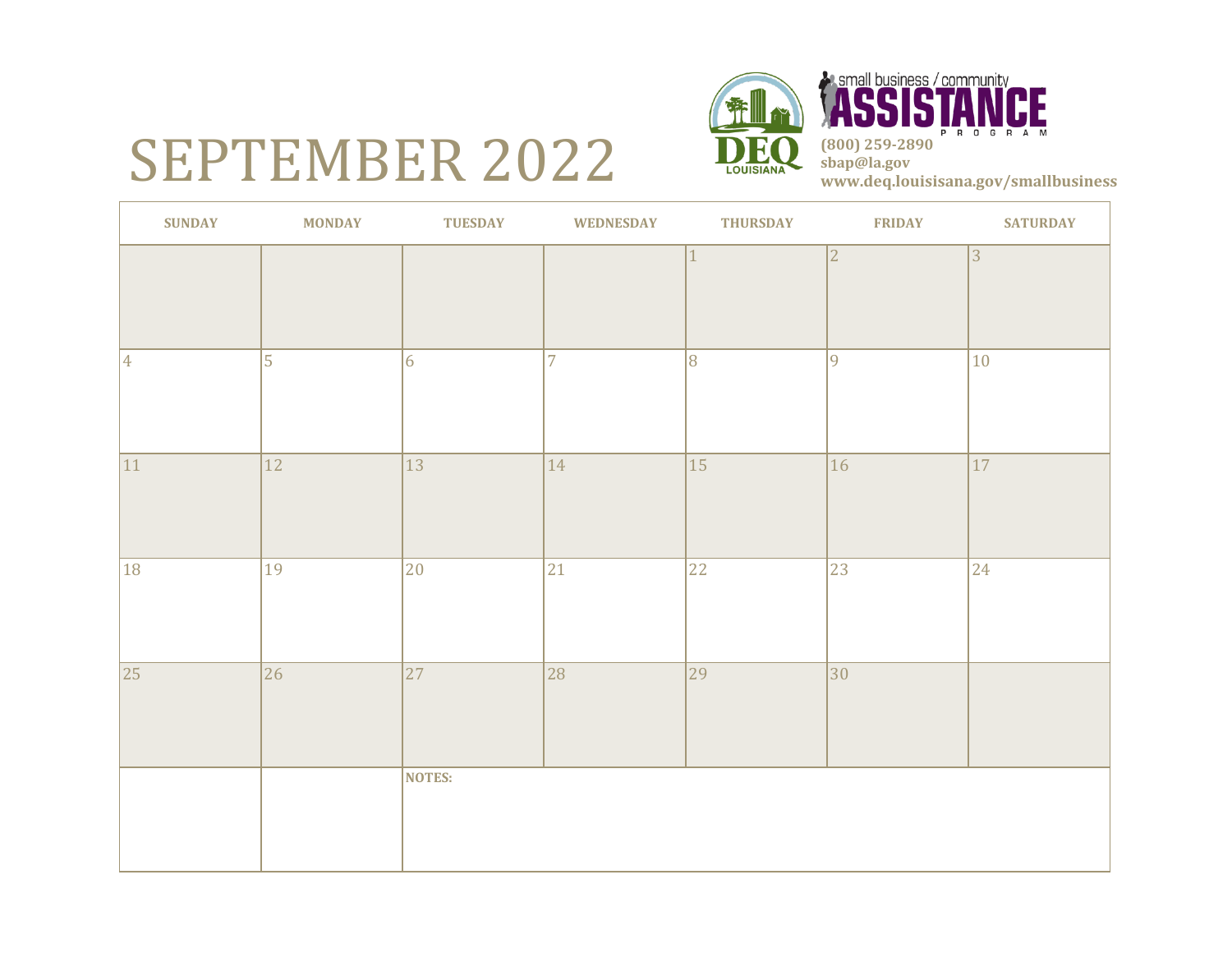## SEPTEMBER 2022



**SUNDAY MONDAY TUESDAY WEDNESDAY THURSDAY FRIDAY SATURDAY** 1  $\vert 2 \vert$  3 4 5 6 7 8 9 9 10 11 12 13 14 15 16 16 18 19 20 21 22 23 24 25 26 27 28 29 29 30 **NOTES:**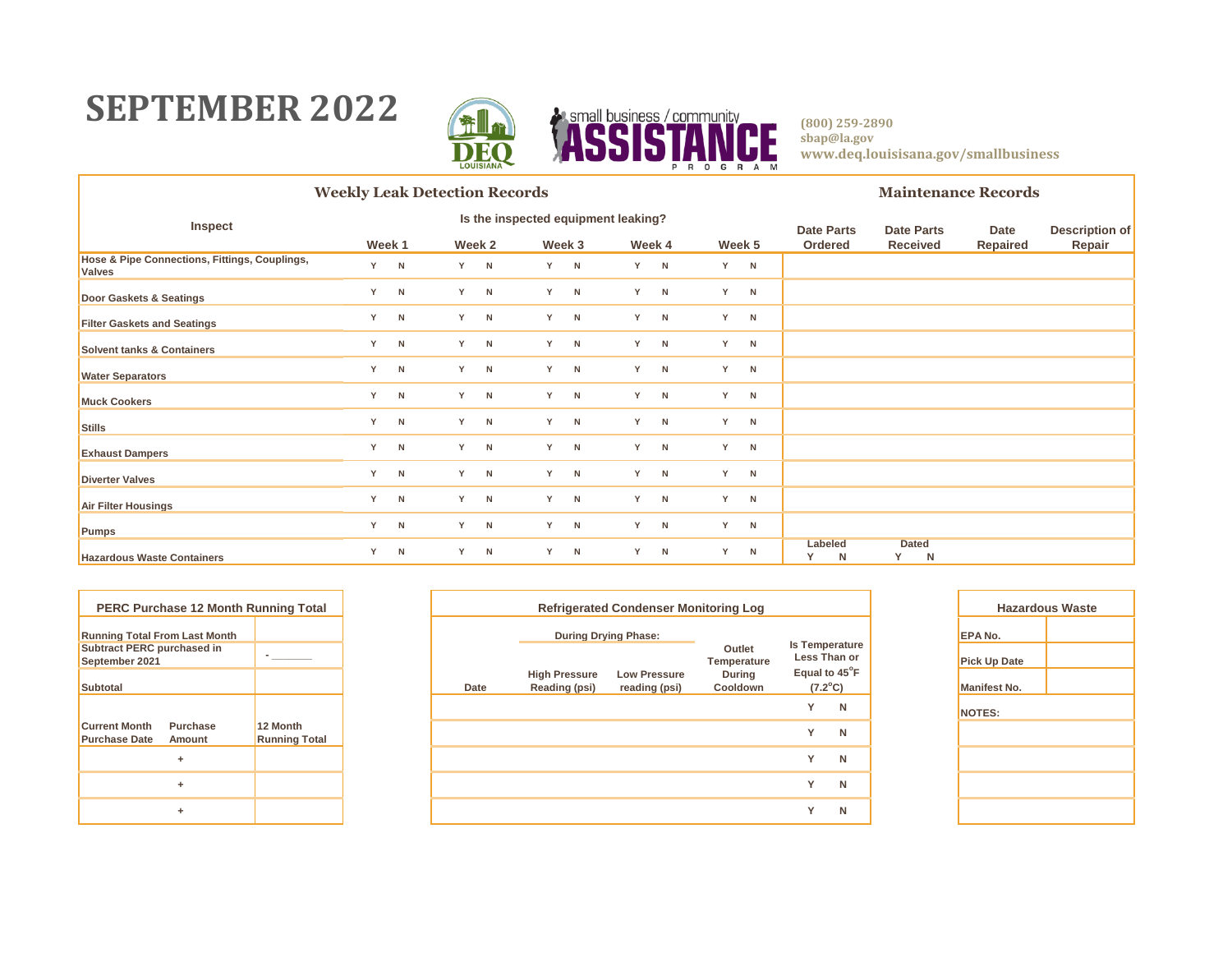### **SEPTEMBER 2022**



|                                                                | <b>Weekly Leak Detection Records</b> |   |     |        |     |        |                                     |        |   |        |  |                   | <b>Maintenance Records</b> |          |                       |  |  |
|----------------------------------------------------------------|--------------------------------------|---|-----|--------|-----|--------|-------------------------------------|--------|---|--------|--|-------------------|----------------------------|----------|-----------------------|--|--|
| Inspect                                                        |                                      |   |     |        |     |        | Is the inspected equipment leaking? |        |   |        |  | <b>Date Parts</b> | <b>Date Parts</b>          | Date     | <b>Description of</b> |  |  |
|                                                                | Week 1                               |   |     | Week 2 |     | Week 3 |                                     | Week 4 |   | Week 5 |  | Ordered           | <b>Received</b>            | Repaired | Repair                |  |  |
| Hose & Pipe Connections, Fittings, Couplings,<br><b>Valves</b> | Y.                                   | N | Y N |        | Y N |        | Y                                   | N      | Y | N      |  |                   |                            |          |                       |  |  |
| Door Gaskets & Seatings                                        | Y                                    | N |     | Y N    |     | Y N    | Y.                                  | N      | Y | N      |  |                   |                            |          |                       |  |  |
| <b>Filter Gaskets and Seatings</b>                             | Y                                    | N |     | Y N    | Y   | N      | Y                                   | N      | Y | N      |  |                   |                            |          |                       |  |  |
| <b>Solvent tanks &amp; Containers</b>                          | Y                                    | N |     | Y N    |     | Y N    | Y                                   | N      | Y | N      |  |                   |                            |          |                       |  |  |
| <b>Water Separators</b>                                        | Y                                    | N |     | Y N    | Y - | N      | Y                                   | N      | Y | N      |  |                   |                            |          |                       |  |  |
| <b>Muck Cookers</b>                                            | Y                                    | N |     | Y N    |     | Y N    | Y                                   | N      | Y | N      |  |                   |                            |          |                       |  |  |
| <b>Stills</b>                                                  | Y                                    | N | Y N |        | Y.  | N      | Y                                   | N      | Y | N      |  |                   |                            |          |                       |  |  |
| <b>Exhaust Dampers</b>                                         | Y                                    | N |     | Y N    |     | Y N    | Y                                   | N      | Y | N      |  |                   |                            |          |                       |  |  |
| <b>Diverter Valves</b>                                         | Y                                    | N |     | Y N    |     | Y N    | Y                                   | N      | Y | N      |  |                   |                            |          |                       |  |  |
| <b>Air Filter Housings</b>                                     | Y                                    | N |     | Y N    |     | Y N    | Y                                   | N      | Y | N      |  |                   |                            |          |                       |  |  |
| <b>Pumps</b>                                                   | Y                                    | N | Y N |        |     | Y N    | Y                                   | N      | Y | N      |  |                   |                            |          |                       |  |  |
| <b>Hazardous Waste Containers</b>                              | Y                                    | N |     | Y N    | Y.  | N      | Y                                   | N      | Y | N      |  | Labeled<br>N      | <b>Dated</b><br>Y<br>N     |          |                       |  |  |

| <b>PERC Purchase 12 Month Running Total</b>                        |                                  |  |  |  |
|--------------------------------------------------------------------|----------------------------------|--|--|--|
| <b>Running Total From Last Month</b>                               |                                  |  |  |  |
| <b>Subtract PERC purchased in</b><br>September 2021                |                                  |  |  |  |
| <b>Subtotal</b>                                                    |                                  |  |  |  |
|                                                                    |                                  |  |  |  |
| <b>Current Month</b><br>Purchase<br><b>Purchase Date</b><br>Amount | 12 Month<br><b>Running Total</b> |  |  |  |
| ÷                                                                  |                                  |  |  |  |
| ÷                                                                  |                                  |  |  |  |
| ÷                                                                  |                                  |  |  |  |

| PERC Purchase 12 Month Running Total             |                                  |      | <b>Refrigerated Condenser Monitoring Log</b> |                                      | Haza                      |                                   |   |                     |  |
|--------------------------------------------------|----------------------------------|------|----------------------------------------------|--------------------------------------|---------------------------|-----------------------------------|---|---------------------|--|
| nning Total From Last Month                      |                                  |      | <b>During Drying Phase:</b>                  |                                      |                           | <b>Is Temperature</b>             |   | <b>EPA No.</b>      |  |
| btract PERC purchased in<br>otember 2021         |                                  |      |                                              |                                      | Outlet<br>Temperature     | Less Than or                      |   | <b>Pick Up Date</b> |  |
| btotal                                           |                                  | Date | <b>High Pressure</b><br>Reading (psi)        | <b>Low Pressure</b><br>reading (psi) | <b>During</b><br>Cooldown | Equal to 45°F<br>$(7.2^{\circ}C)$ |   | <b>Manifest No.</b> |  |
|                                                  |                                  |      |                                              |                                      |                           | $\checkmark$                      | N | NOTES:              |  |
| Purchase<br>rrent Month<br>rchase Date<br>Amount | 12 Month<br><b>Running Total</b> |      |                                              |                                      |                           | $\checkmark$                      | N |                     |  |
| ÷                                                |                                  |      |                                              |                                      |                           | $\checkmark$                      | N |                     |  |
| ÷                                                |                                  |      |                                              |                                      |                           | $\checkmark$                      | N |                     |  |
| ٠                                                |                                  |      |                                              |                                      |                           | $\checkmark$                      | N |                     |  |
|                                                  |                                  |      |                                              |                                      |                           |                                   |   |                     |  |

| <b>Hazardous Waste</b> |  |  |  |  |  |  |  |  |
|------------------------|--|--|--|--|--|--|--|--|
| EPA No.                |  |  |  |  |  |  |  |  |
| <b>Pick Up Date</b>    |  |  |  |  |  |  |  |  |
| <b>Manifest No.</b>    |  |  |  |  |  |  |  |  |
| <b>NOTES:</b>          |  |  |  |  |  |  |  |  |
|                        |  |  |  |  |  |  |  |  |
|                        |  |  |  |  |  |  |  |  |
|                        |  |  |  |  |  |  |  |  |
|                        |  |  |  |  |  |  |  |  |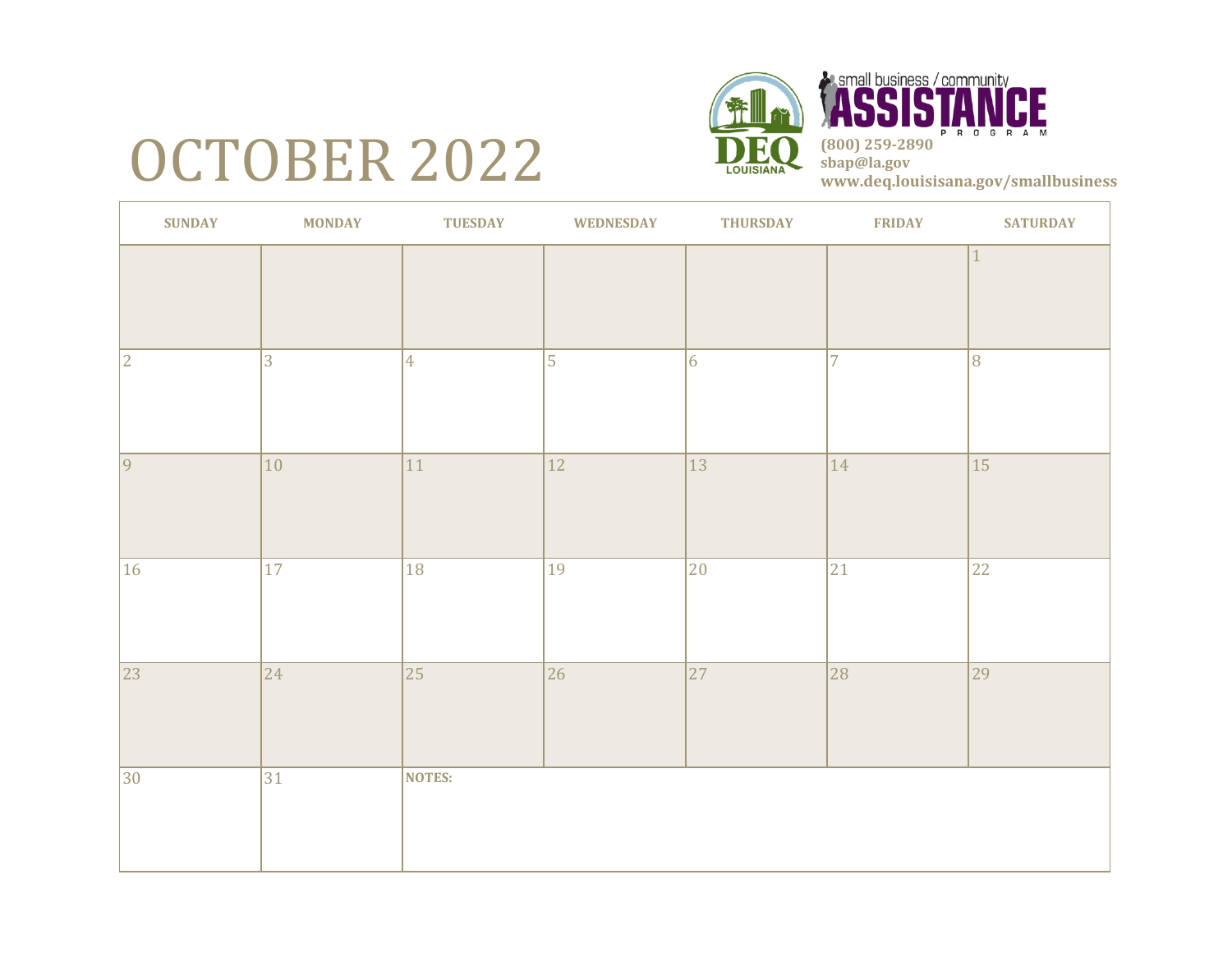# OCTOBER 2022



P R O G R A **(800) 259-2890 sbap@la.gov www.deq.louisisana.gov/smallbusiness**

CE

| <b>SUNDAY</b>   | <b>MONDAY</b> | <b>TUESDAY</b>  | <b>WEDNESDAY</b> | <b>THURSDAY</b> | <b>FRIDAY</b>  | <b>SATURDAY</b> |
|-----------------|---------------|-----------------|------------------|-----------------|----------------|-----------------|
|                 |               |                 |                  |                 |                | $\mathbf{1}$    |
| $ 2\rangle$     | $ 3\rangle$   | $\overline{4}$  | $\overline{5}$   | $\vert 6 \vert$ | $\overline{7}$ | 8               |
| $\overline{9}$  | $ 10\rangle$  | 11              | $\overline{12}$  | $\overline{13}$ | 14             | $\overline{15}$ |
| $ 16\rangle$    | $ 17\rangle$  | 18              | 19               | 20              | 21             | 22              |
| $\overline{23}$ | $ 24\rangle$  | $\overline{25}$ | 26               | $\overline{27}$ | 28             | $\overline{29}$ |
| $ 30\rangle$    | 31            | <b>NOTES:</b>   |                  |                 |                |                 |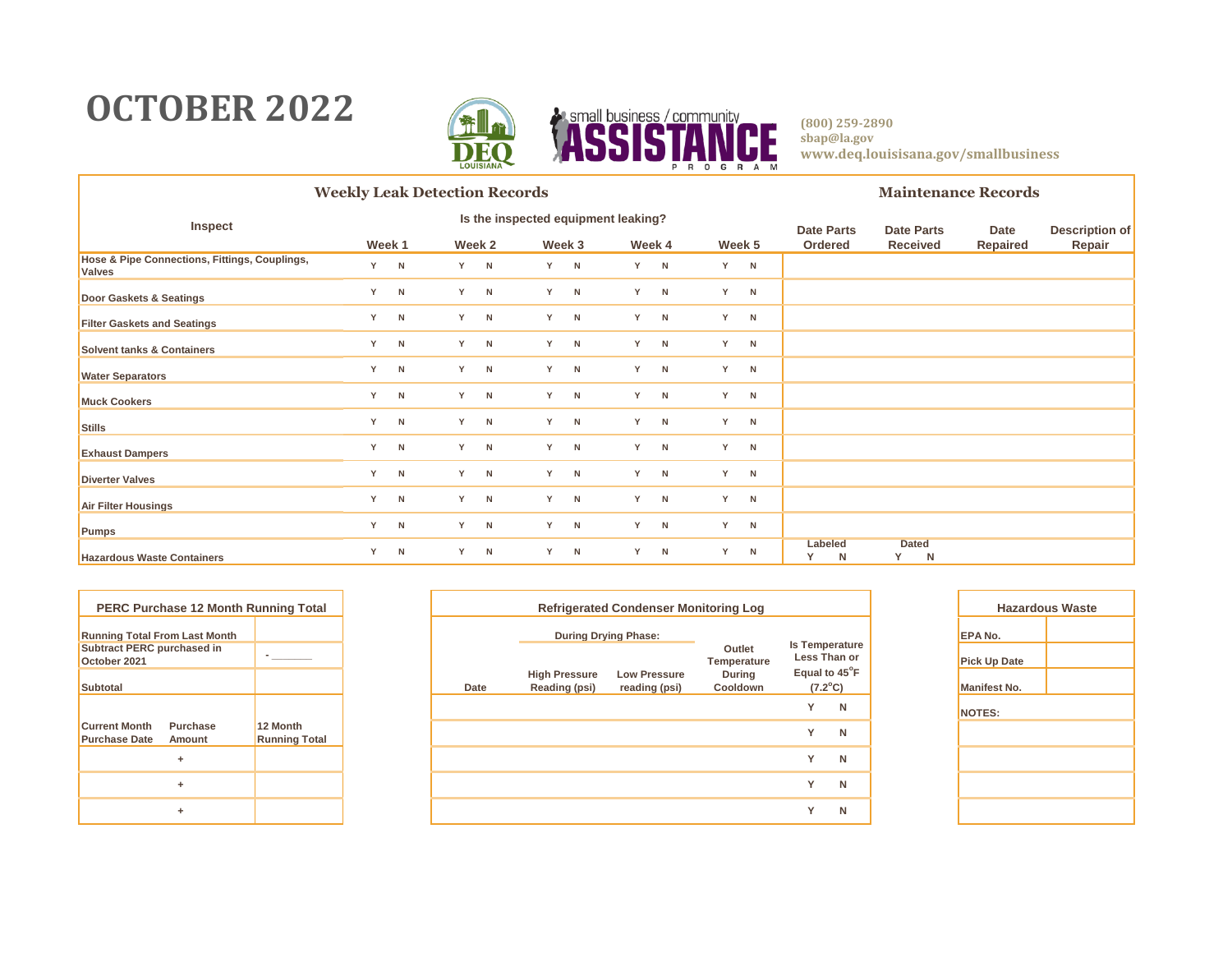### **OCTOBER 2022**



|                                                                | <b>Weekly Leak Detection Records</b> |   |     |        |     |        |                                     |        |   |        |  |                   | <b>Maintenance Records</b> |          |                       |  |  |
|----------------------------------------------------------------|--------------------------------------|---|-----|--------|-----|--------|-------------------------------------|--------|---|--------|--|-------------------|----------------------------|----------|-----------------------|--|--|
| Inspect                                                        |                                      |   |     |        |     |        | Is the inspected equipment leaking? |        |   |        |  | <b>Date Parts</b> | <b>Date Parts</b>          | Date     | <b>Description of</b> |  |  |
|                                                                | Week 1                               |   |     | Week 2 |     | Week 3 |                                     | Week 4 |   | Week 5 |  | Ordered           | <b>Received</b>            | Repaired | Repair                |  |  |
| Hose & Pipe Connections, Fittings, Couplings,<br><b>Valves</b> | Y.                                   | N | Y N |        | Y N |        | Y                                   | N      | Y | N      |  |                   |                            |          |                       |  |  |
| Door Gaskets & Seatings                                        | Y                                    | N |     | Y N    |     | Y N    | Y.                                  | N      | Y | N      |  |                   |                            |          |                       |  |  |
| <b>Filter Gaskets and Seatings</b>                             | Y                                    | N |     | Y N    | Y   | N      | Y                                   | N      | Y | N      |  |                   |                            |          |                       |  |  |
| <b>Solvent tanks &amp; Containers</b>                          | Y                                    | N |     | Y N    |     | Y N    | Y                                   | N      | Y | N      |  |                   |                            |          |                       |  |  |
| <b>Water Separators</b>                                        | Y                                    | N |     | Y N    | Y - | N      | Y                                   | N      | Y | N      |  |                   |                            |          |                       |  |  |
| <b>Muck Cookers</b>                                            | Y                                    | N |     | Y N    |     | Y N    | Y                                   | N      | Y | N      |  |                   |                            |          |                       |  |  |
| <b>Stills</b>                                                  | Y                                    | N | Y N |        | Y.  | N      | Y                                   | N      | Y | N      |  |                   |                            |          |                       |  |  |
| <b>Exhaust Dampers</b>                                         | Y                                    | N |     | Y N    |     | Y N    | Y                                   | N      | Y | N      |  |                   |                            |          |                       |  |  |
| <b>Diverter Valves</b>                                         | Y                                    | N |     | Y N    |     | Y N    | Y                                   | N      | Y | N      |  |                   |                            |          |                       |  |  |
| <b>Air Filter Housings</b>                                     | Y                                    | N |     | Y N    |     | Y N    | Y                                   | N      | Y | N      |  |                   |                            |          |                       |  |  |
| <b>Pumps</b>                                                   | Y                                    | N | Y N |        |     | Y N    | Y                                   | N      | Y | N      |  |                   |                            |          |                       |  |  |
| <b>Hazardous Waste Containers</b>                              | Y                                    | N |     | Y N    | Y.  | N      | Y                                   | N      | Y | N      |  | Labeled<br>N      | <b>Dated</b><br>Y<br>N     |          |                       |  |  |

| <b>PERC Purchase 12 Month Running Total</b>       |                    |                                  |  |  |
|---------------------------------------------------|--------------------|----------------------------------|--|--|
| <b>Running Total From Last Month</b>              |                    |                                  |  |  |
| <b>Subtract PERC purchased in</b><br>October 2021 |                    |                                  |  |  |
| <b>Subtotal</b>                                   |                    |                                  |  |  |
|                                                   |                    |                                  |  |  |
| <b>Current Month</b><br><b>Purchase Date</b>      | Purchase<br>Amount | 12 Month<br><b>Running Total</b> |  |  |
|                                                   | ÷                  |                                  |  |  |
|                                                   | ÷                  |                                  |  |  |
|                                                   | ÷                  |                                  |  |  |

| <b>PERC Purchase 12 Month Running Total</b>                           |                                  |      | <b>Refrigerated Condenser Monitoring Log</b> |                                      | Haza                      |                                       |   |                                       |
|-----------------------------------------------------------------------|----------------------------------|------|----------------------------------------------|--------------------------------------|---------------------------|---------------------------------------|---|---------------------------------------|
| nning Total From Last Month<br>btract PERC purchased in<br>tober 2021 |                                  |      | <b>During Drying Phase:</b>                  |                                      | Outlet<br>Temperature     | <b>Is Temperature</b><br>Less Than or |   | <b>EPA No.</b><br><b>Pick Up Date</b> |
| btotal                                                                |                                  | Date | <b>High Pressure</b><br>Reading (psi)        | <b>Low Pressure</b><br>reading (psi) | <b>During</b><br>Cooldown | Equal to 45°F<br>$(7.2^{\circ}C)$     |   | <b>Manifest No.</b>                   |
|                                                                       |                                  |      |                                              |                                      |                           | $\checkmark$                          | N | NOTES:                                |
| rrent Month<br><b>Purchase</b><br>rchase Date<br>Amount               | 12 Month<br><b>Running Total</b> |      |                                              |                                      |                           | $\checkmark$                          | N |                                       |
| ÷                                                                     |                                  |      |                                              |                                      |                           | $\checkmark$                          | N |                                       |
| ÷                                                                     |                                  |      |                                              |                                      |                           | $\checkmark$                          | N |                                       |
| ٠                                                                     |                                  |      |                                              |                                      |                           | $\checkmark$                          | N |                                       |
|                                                                       |                                  |      |                                              |                                      |                           |                                       |   |                                       |

| <b>Hazardous Waste</b> |  |  |  |  |  |  |  |  |
|------------------------|--|--|--|--|--|--|--|--|
| EPA No.                |  |  |  |  |  |  |  |  |
| <b>Pick Up Date</b>    |  |  |  |  |  |  |  |  |
| <b>Manifest No.</b>    |  |  |  |  |  |  |  |  |
| <b>NOTES:</b>          |  |  |  |  |  |  |  |  |
|                        |  |  |  |  |  |  |  |  |
|                        |  |  |  |  |  |  |  |  |
|                        |  |  |  |  |  |  |  |  |
|                        |  |  |  |  |  |  |  |  |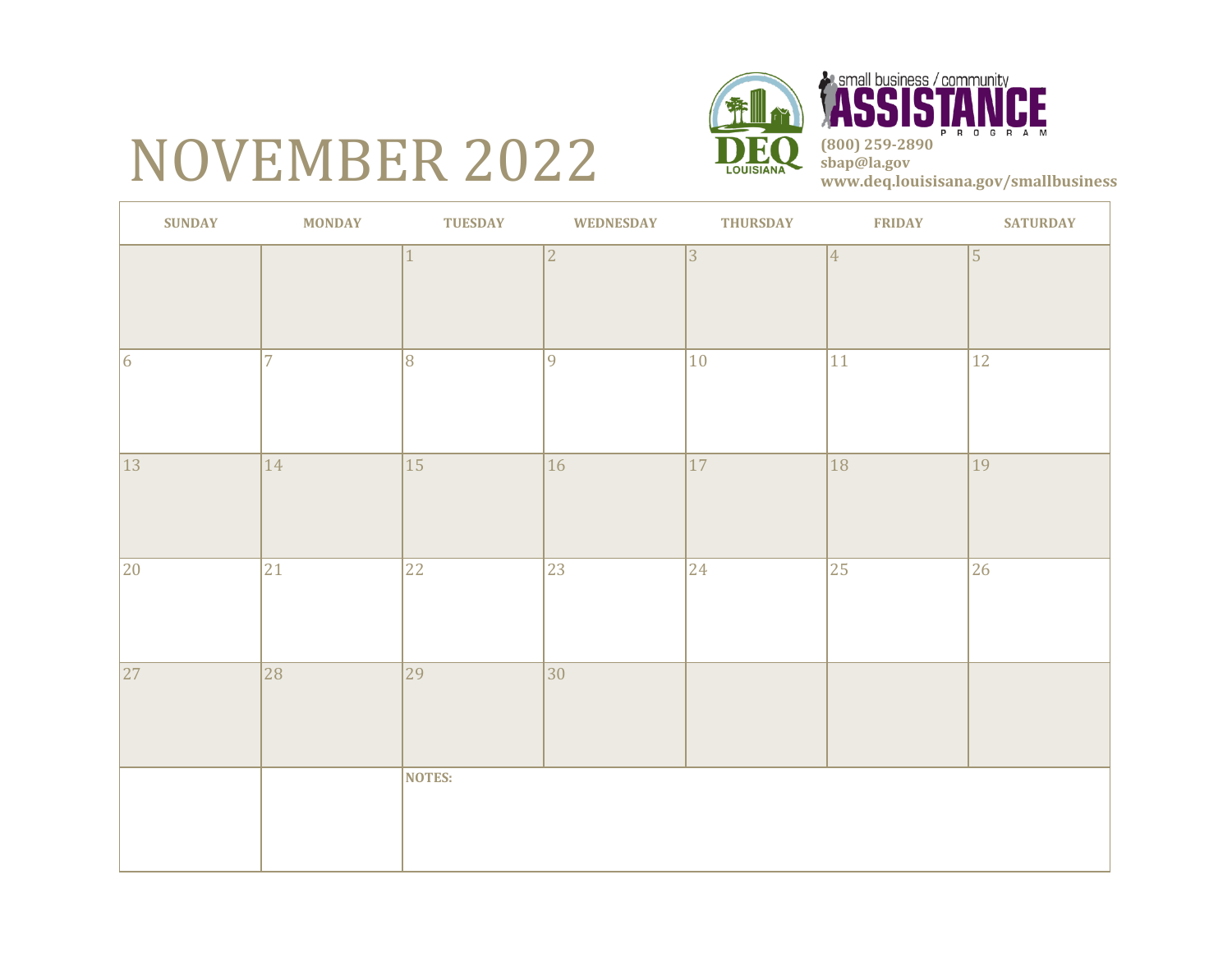# NOVEMBER 2022



*<b>Asmall business / community*<br> **ASSISTAN** CE P R O G R A M **(800) 259-2890 sbap@la.gov www.deq.louisisana.gov/smallbusiness**

| <b>SUNDAY</b> | <b>MONDAY</b>  | <b>TUESDAY</b>  | <b>WEDNESDAY</b> | <b>THURSDAY</b> | <b>FRIDAY</b>  | <b>SATURDAY</b> |
|---------------|----------------|-----------------|------------------|-----------------|----------------|-----------------|
|               |                |                 | $\sqrt{2}$       | 3               | $\overline{4}$ | $\vert$ 5       |
| 6             | $\overline{7}$ | 8               | $\overline{9}$   | $ 10\rangle$    | 11             | $\overline{12}$ |
| 13            | $ 14\rangle$   | 15              | 16               | $ 17\rangle$    | 18             | 19              |
| 20            | 21             | 22              | 23               | $ 24\rangle$    | 25             | 26              |
| 27            | 28             | $\overline{29}$ | $\overline{30}$  |                 |                |                 |
|               |                | <b>NOTES:</b>   |                  |                 |                |                 |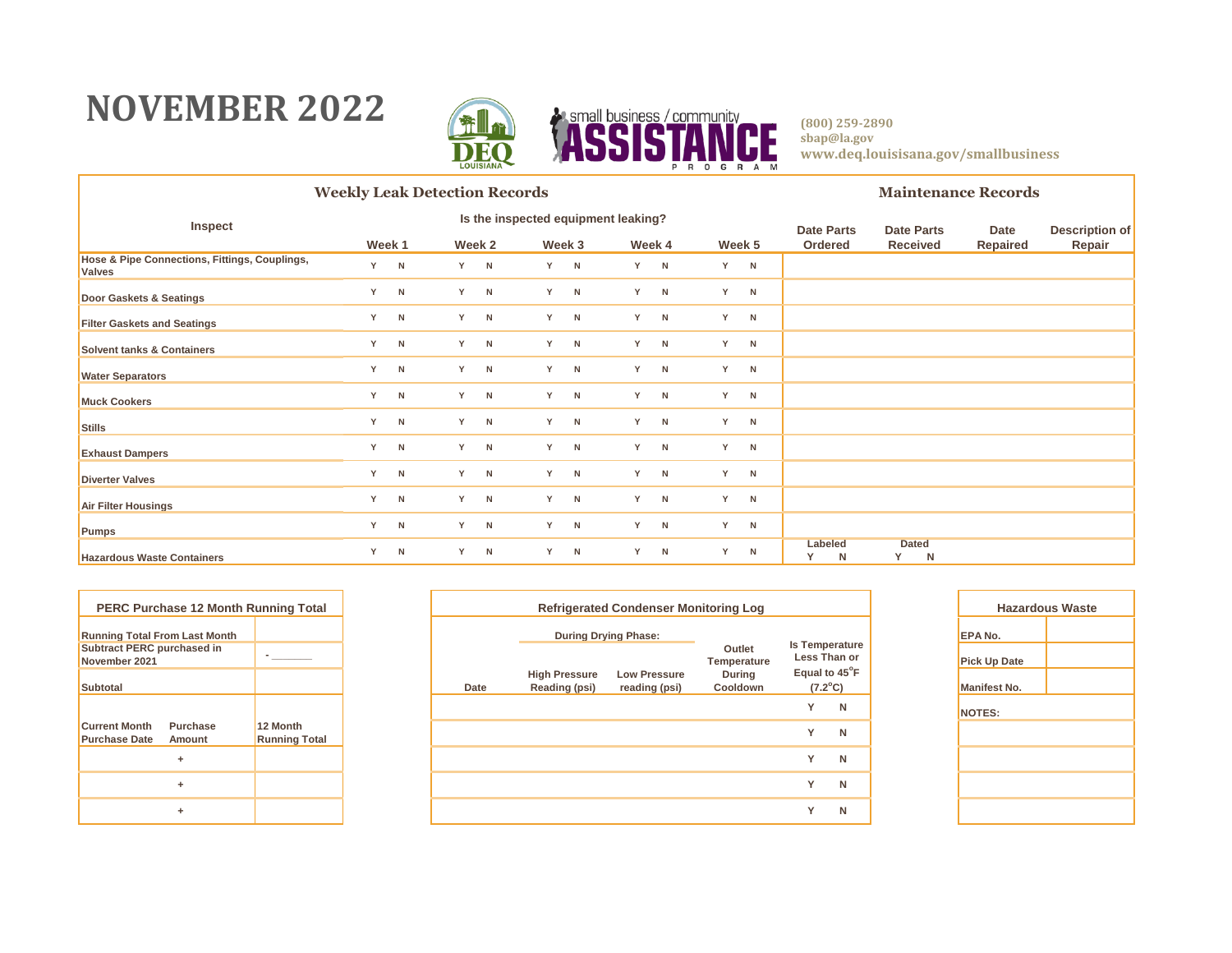### **NOVEMBER 2022**



|                                                                | <b>Weekly Leak Detection Records</b> |                                     |     |        |     |        |    |        |   |        |                   |                   | <b>Maintenance Records</b> |                       |        |  |
|----------------------------------------------------------------|--------------------------------------|-------------------------------------|-----|--------|-----|--------|----|--------|---|--------|-------------------|-------------------|----------------------------|-----------------------|--------|--|
| Inspect                                                        |                                      | Is the inspected equipment leaking? |     |        |     |        |    |        |   |        | <b>Date Parts</b> | <b>Date Parts</b> | Date                       | <b>Description of</b> |        |  |
|                                                                |                                      | Week 1                              |     | Week 2 |     | Week 3 |    | Week 4 |   | Week 5 |                   | Ordered           | <b>Received</b>            | Repaired              | Repair |  |
| Hose & Pipe Connections, Fittings, Couplings,<br><b>Valves</b> | Y.                                   | N                                   | Y N |        | Y N |        | Y  | N      | Y | N      |                   |                   |                            |                       |        |  |
| Door Gaskets & Seatings                                        | Y                                    | N                                   |     | Y N    |     | Y N    | Y. | N      | Y | N      |                   |                   |                            |                       |        |  |
| <b>Filter Gaskets and Seatings</b>                             | Y                                    | N                                   |     | Y N    | Y   | N      | Y  | N      | Y | N      |                   |                   |                            |                       |        |  |
| <b>Solvent tanks &amp; Containers</b>                          | Y                                    | N                                   |     | Y N    |     | Y N    | Y  | N      | Y | N      |                   |                   |                            |                       |        |  |
| <b>Water Separators</b>                                        | Y                                    | N                                   |     | Y N    | Y - | N      | Y  | N      | Y | N      |                   |                   |                            |                       |        |  |
| <b>Muck Cookers</b>                                            | Y                                    | N                                   |     | Y N    |     | Y N    | Y  | N      | Y | N      |                   |                   |                            |                       |        |  |
| <b>Stills</b>                                                  | Y                                    | N                                   | Y N |        | Y.  | N      | Y  | N      | Y | N      |                   |                   |                            |                       |        |  |
| <b>Exhaust Dampers</b>                                         | Y                                    | N                                   |     | Y N    |     | Y N    | Y  | N      | Y | N      |                   |                   |                            |                       |        |  |
| <b>Diverter Valves</b>                                         | Y                                    | N                                   |     | Y N    |     | Y N    | Y  | N      | Y | N      |                   |                   |                            |                       |        |  |
| <b>Air Filter Housings</b>                                     | Y                                    | N                                   |     | Y N    |     | Y N    | Y  | N      | Y | N      |                   |                   |                            |                       |        |  |
| <b>Pumps</b>                                                   | Y                                    | N                                   | Y N |        |     | Y N    | Y  | N      | Y | N      |                   |                   |                            |                       |        |  |
| <b>Hazardous Waste Containers</b>                              | Y                                    | N                                   |     | Y N    | Y.  | N      | Y  | N      | Y | N      |                   | Labeled<br>N      | <b>Dated</b><br>Y<br>N     |                       |        |  |

|                                                    | <b>PERC Purchase 12 Month Running Total</b> |                                  |
|----------------------------------------------------|---------------------------------------------|----------------------------------|
| <b>Running Total From Last Month</b>               |                                             |                                  |
| <b>Subtract PERC purchased in</b><br>November 2021 |                                             |                                  |
| <b>Subtotal</b>                                    |                                             |                                  |
|                                                    |                                             |                                  |
| <b>Current Month</b><br><b>Purchase Date</b>       | Purchase<br>Amount                          | 12 Month<br><b>Running Total</b> |
|                                                    | ÷                                           |                                  |
|                                                    | ÷                                           |                                  |
|                                                    | ÷                                           |                                  |

| PERC Purchase 12 Month Running Total                    |                                  |      |                                       | Haza                                 |                           |                                   |                |                     |
|---------------------------------------------------------|----------------------------------|------|---------------------------------------|--------------------------------------|---------------------------|-----------------------------------|----------------|---------------------|
| nning Total From Last Month                             |                                  |      | <b>During Drying Phase:</b>           |                                      | <b>Is Temperature</b>     |                                   | <b>EPA No.</b> |                     |
| btract PERC purchased in<br>vember 2021                 |                                  |      |                                       |                                      | Outlet<br>Temperature     | Less Than or                      |                | <b>Pick Up Date</b> |
| btotal                                                  |                                  | Date | <b>High Pressure</b><br>Reading (psi) | <b>Low Pressure</b><br>reading (psi) | <b>During</b><br>Cooldown | Equal to 45°F<br>$(7.2^{\circ}C)$ |                | <b>Manifest No.</b> |
|                                                         |                                  |      |                                       |                                      |                           | $\checkmark$                      | N              | NOTES:              |
| rrent Month<br><b>Purchase</b><br>rchase Date<br>Amount | 12 Month<br><b>Running Total</b> |      |                                       |                                      |                           | $\checkmark$                      | N              |                     |
| ٠                                                       |                                  |      |                                       |                                      |                           | $\checkmark$                      | N              |                     |
| ÷                                                       |                                  |      |                                       |                                      |                           | $\checkmark$                      | N              |                     |
| ٠                                                       |                                  |      |                                       |                                      |                           | $\checkmark$                      | N              |                     |
|                                                         |                                  |      |                                       |                                      |                           |                                   |                |                     |

| <b>Hazardous Waste</b> |  |  |  |  |  |  |  |
|------------------------|--|--|--|--|--|--|--|
| EPA No.                |  |  |  |  |  |  |  |
| <b>Pick Up Date</b>    |  |  |  |  |  |  |  |
| <b>Manifest No.</b>    |  |  |  |  |  |  |  |
| <b>NOTES:</b>          |  |  |  |  |  |  |  |
|                        |  |  |  |  |  |  |  |
|                        |  |  |  |  |  |  |  |
|                        |  |  |  |  |  |  |  |
|                        |  |  |  |  |  |  |  |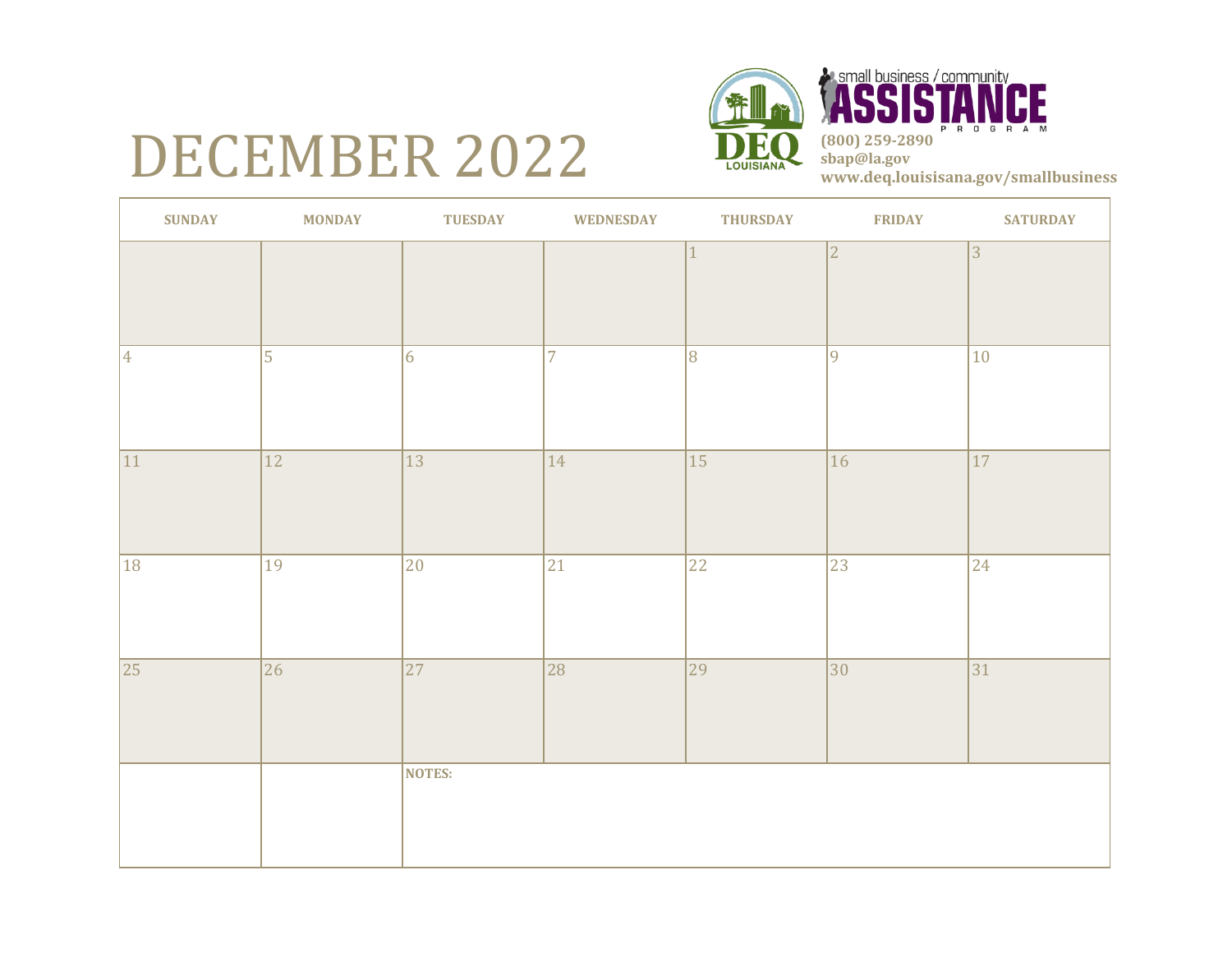### DECEMBER 2022



**A small business / community<br>
(800) 259-2890 <b>PM sbap@la.gov www.deq.louisisana.gov/smallbusiness**

| <b>SUNDAY</b>   | <b>MONDAY</b>   | <b>TUESDAY</b>  | <b>WEDNESDAY</b> | <b>THURSDAY</b> | <b>FRIDAY</b>  | <b>SATURDAY</b> |
|-----------------|-----------------|-----------------|------------------|-----------------|----------------|-----------------|
|                 |                 |                 |                  | $\mathbf{1}$    | $\overline{2}$ | 3               |
| $\vert 4 \vert$ | $\overline{5}$  | $\overline{6}$  | 7                | $\overline{8}$  | $\overline{9}$ | 10              |
| 11              | $\overline{12}$ | $\overline{13}$ | 14               | $\overline{15}$ | 16             | $\overline{17}$ |
| 18              | 19              | 20              | 21               | 22              | 23             | 24              |
| 25              | $\overline{26}$ | $\overline{27}$ | $\overline{28}$  | $\overline{29}$ | $ 30\rangle$   | $\overline{31}$ |
|                 |                 | NOTES:          |                  |                 |                |                 |